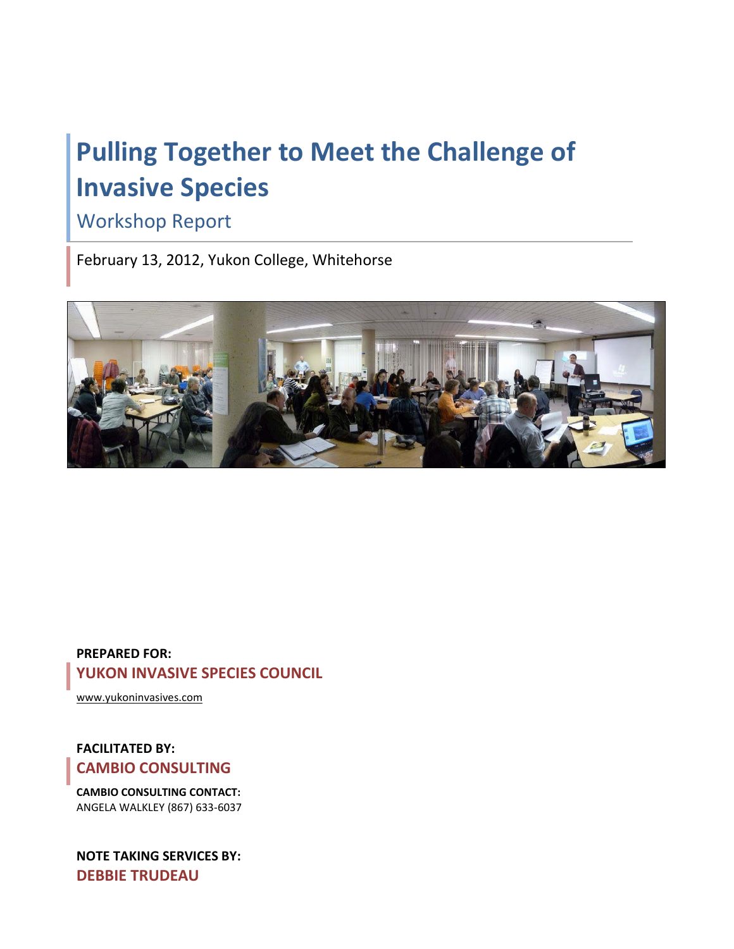# **Pulling Together to Meet the Challenge of Invasive Species**

## Workshop Report

February 13, 2012, Yukon College, Whitehorse



#### **PREPARED FOR: YUKON INVASIVE SPECIES COUNCIL**

[www.yukoninvasives.com](http://www.yukoninvasives.com/)

#### **FACILITATED BY: CAMBIO CONSULTING**

**CAMBIO CONSULTING CONTACT:** ANGELA WALKLEY (867) 633-6037

**NOTE TAKING SERVICES BY: DEBBIE TRUDEAU**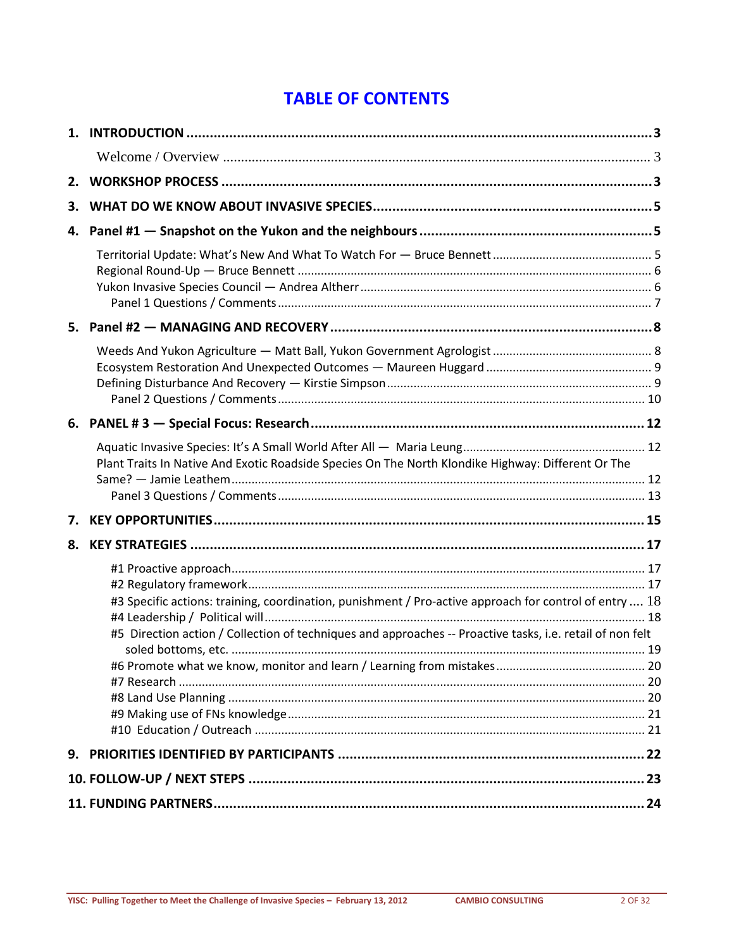### **TABLE OF CONTENTS**

| 2. |                                                                                                                                                                                                                     |  |
|----|---------------------------------------------------------------------------------------------------------------------------------------------------------------------------------------------------------------------|--|
| З. |                                                                                                                                                                                                                     |  |
| 4. |                                                                                                                                                                                                                     |  |
|    |                                                                                                                                                                                                                     |  |
|    |                                                                                                                                                                                                                     |  |
|    |                                                                                                                                                                                                                     |  |
|    |                                                                                                                                                                                                                     |  |
|    | Plant Traits In Native And Exotic Roadside Species On The North Klondike Highway: Different Or The                                                                                                                  |  |
| 7. |                                                                                                                                                                                                                     |  |
| 8. |                                                                                                                                                                                                                     |  |
|    | #3 Specific actions: training, coordination, punishment / Pro-active approach for control of entry  18<br>#5 Direction action / Collection of techniques and approaches -- Proactive tasks, i.e. retail of non felt |  |
|    |                                                                                                                                                                                                                     |  |
|    |                                                                                                                                                                                                                     |  |
|    |                                                                                                                                                                                                                     |  |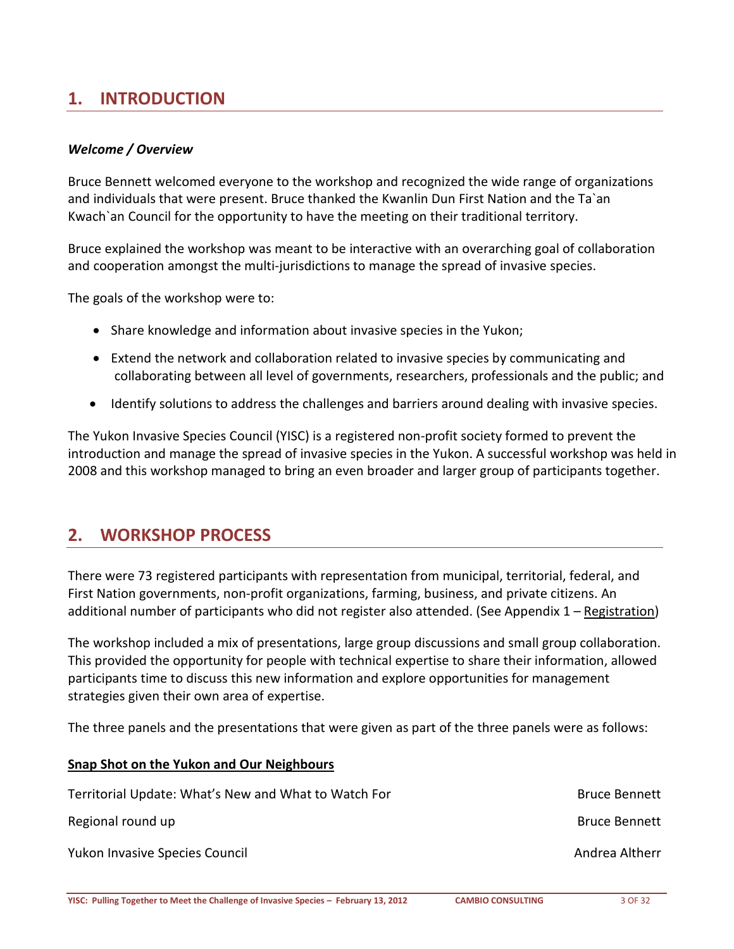### <span id="page-2-0"></span>**1. INTRODUCTION**

#### <span id="page-2-1"></span>*Welcome / Overview*

Bruce Bennett welcomed everyone to the workshop and recognized the wide range of organizations and individuals that were present. Bruce thanked the Kwanlin Dun First Nation and the Ta`an Kwach`an Council for the opportunity to have the meeting on their traditional territory.

Bruce explained the workshop was meant to be interactive with an overarching goal of collaboration and cooperation amongst the multi-jurisdictions to manage the spread of invasive species.

The goals of the workshop were to:

- Share knowledge and information about invasive species in the Yukon;
- Extend the network and collaboration related to invasive species by communicating and collaborating between all level of governments, researchers, professionals and the public; and
- Identify solutions to address the challenges and barriers around dealing with invasive species.

The Yukon Invasive Species Council (YISC) is a registered non-profit society formed to prevent the introduction and manage the spread of invasive species in the Yukon. A successful workshop was held in 2008 and this workshop managed to bring an even broader and larger group of participants together.

#### <span id="page-2-2"></span>**2. WORKSHOP PROCESS**

There were 73 registered participants with representation from municipal, territorial, federal, and First Nation governments, non-profit organizations, farming, business, and private citizens. An additional number of participants who did not register also attended. (See Appendix 1 – [Registration\)](#page-24-0)

The workshop included a mix of presentations, large group discussions and small group collaboration. This provided the opportunity for people with technical expertise to share their information, allowed participants time to discuss this new information and explore opportunities for management strategies given their own area of expertise.

The three panels and the presentations that were given as part of the three panels were as follows:

| Territorial Update: What's New and What to Watch For | <b>Bruce Bennett</b> |
|------------------------------------------------------|----------------------|
| Regional round up                                    | <b>Bruce Bennett</b> |
| <b>Yukon Invasive Species Council</b>                | Andrea Altherr       |

**Snap Shot on the Yukon and Our Neighbours**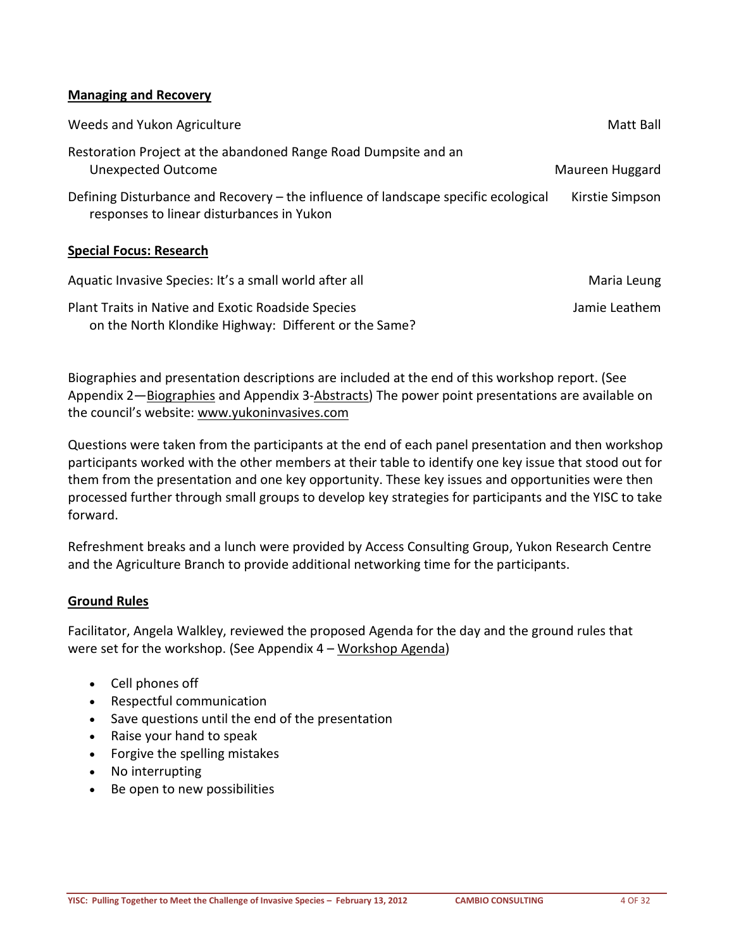#### **Managing and Recovery**

| Weeds and Yukon Agriculture                                                                                                     | Matt Ball       |
|---------------------------------------------------------------------------------------------------------------------------------|-----------------|
| Restoration Project at the abandoned Range Road Dumpsite and an<br><b>Unexpected Outcome</b>                                    | Maureen Huggard |
| Defining Disturbance and Recovery – the influence of landscape specific ecological<br>responses to linear disturbances in Yukon | Kirstie Simpson |
| <b>Special Focus: Research</b>                                                                                                  |                 |
| Aquatic Invasive Species: It's a small world after all                                                                          | Maria Leung     |
| Plant Traits in Native and Exotic Roadside Species<br>on the North Klondike Highway: Different or the Same?                     | Jamie Leathem   |

Biographies and presentation descriptions are included at the end of this workshop report. (See Appendix 2—**Biographies and Appendix 3-Abstracts**) The power point presentations are available on the council's website: www.yukoninvasives.com

Questions were taken from the participants at the end of each panel presentation and then workshop participants worked with the other members at their table to identify one key issue that stood out for them from the presentation and one key opportunity. These key issues and opportunities were then processed further through small groups to develop key strategies for participants and the YISC to take forward.

Refreshment breaks and a lunch were provided by Access Consulting Group, Yukon Research Centre and the Agriculture Branch to provide additional networking time for the participants.

#### **Ground Rules**

Facilitator, Angela Walkley, reviewed the proposed Agenda for the day and the ground rules that were set for the workshop. (See Appendix 4 – <u>Workshop Agenda</u>)

- Cell phones off
- Respectful communication
- Save questions until the end of the presentation
- Raise your hand to speak
- Forgive the spelling mistakes
- No interrupting
- Be open to new possibilities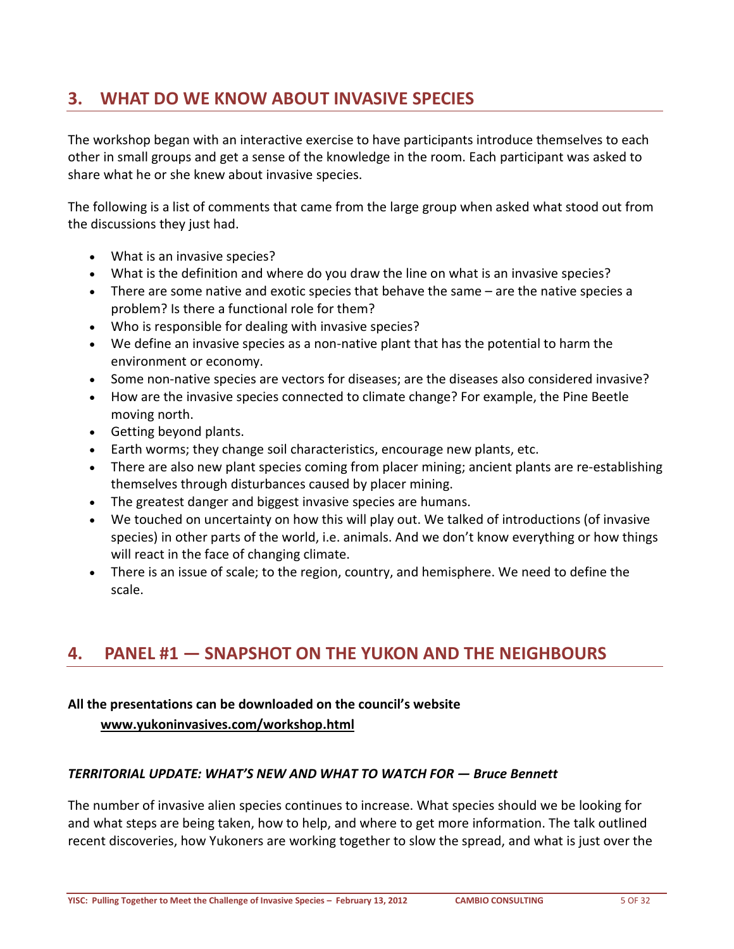### <span id="page-4-0"></span>**3. WHAT DO WE KNOW ABOUT INVASIVE SPECIES**

The workshop began with an interactive exercise to have participants introduce themselves to each other in small groups and get a sense of the knowledge in the room. Each participant was asked to share what he or she knew about invasive species.

The following is a list of comments that came from the large group when asked what stood out from the discussions they just had.

- What is an invasive species?
- What is the definition and where do you draw the line on what is an invasive species?
- There are some native and exotic species that behave the same are the native species a problem? Is there a functional role for them?
- Who is responsible for dealing with invasive species?
- We define an invasive species as a non-native plant that has the potential to harm the environment or economy.
- Some non-native species are vectors for diseases; are the diseases also considered invasive?
- How are the invasive species connected to climate change? For example, the Pine Beetle moving north.
- Getting beyond plants.
- Earth worms; they change soil characteristics, encourage new plants, etc.
- There are also new plant species coming from placer mining; ancient plants are re-establishing themselves through disturbances caused by placer mining.
- The greatest danger and biggest invasive species are humans.
- We touched on uncertainty on how this will play out. We talked of introductions (of invasive species) in other parts of the world, i.e. animals. And we don't know everything or how things will react in the face of changing climate.
- <span id="page-4-1"></span>• There is an issue of scale; to the region, country, and hemisphere. We need to define the scale.

### **4. PANEL #1 — SNAPSHOT ON THE YUKON AND THE NEIGHBOURS**

# **All the presentations can be downloaded on the council's website**

#### **[www.yukoninvasives.com/workshop.html](http://www.yukoninvasives.com/workshop.html)**

#### <span id="page-4-2"></span>*TERRITORIAL UPDATE: WHAT'S NEW AND WHAT TO WATCH FOR — Bruce Bennett*

The number of invasive alien species continues to increase. What species should we be looking for and what steps are being taken, how to help, and where to get more information. The talk outlined recent discoveries, how Yukoners are working together to slow the spread, and what is just over the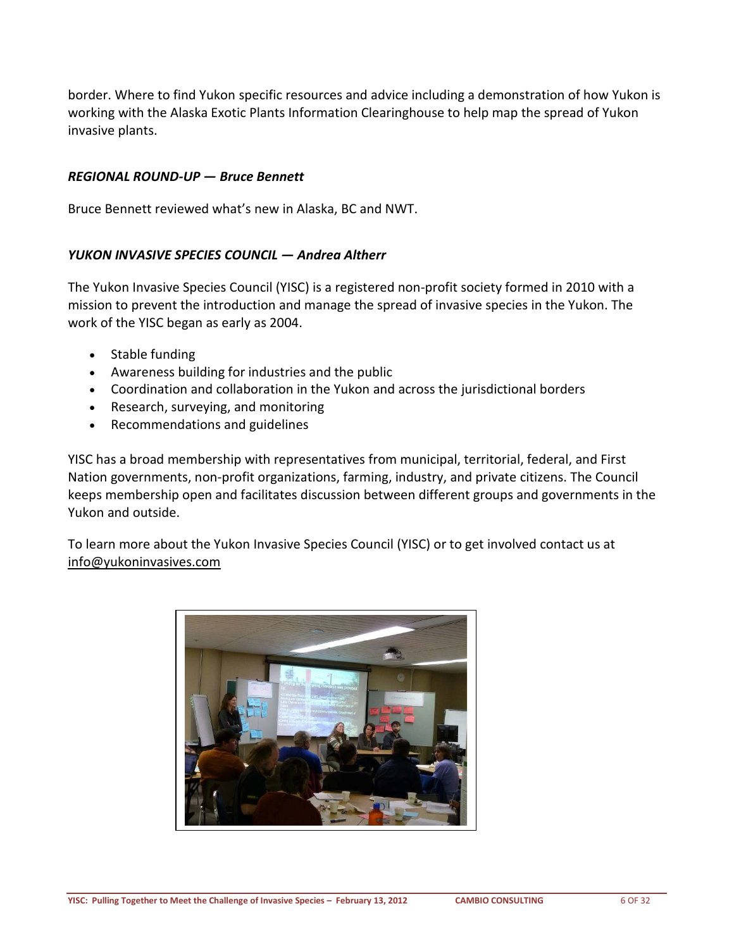border. Where to find Yukon specific resources and advice including a demonstration of how Yukon is working with the Alaska Exotic Plants Information Clearinghouse to help map the spread of Yukon invasive plants.

#### <span id="page-5-0"></span>*REGIONAL ROUND-UP — Bruce Bennett*

Bruce Bennett reviewed what's new in Alaska, BC and NWT.

#### <span id="page-5-1"></span>*YUKON INVASIVE SPECIES COUNCIL — Andrea Altherr*

The Yukon Invasive Species Council (YISC) is a registered non-profit society formed in 2010 with a mission to prevent the introduction and manage the spread of invasive species in the Yukon. The work of the YISC began as early as 2004.

- Stable funding
- Awareness building for industries and the public
- Coordination and collaboration in the Yukon and across the jurisdictional borders
- Research, surveying, and monitoring
- Recommendations and guidelines

YISC has a broad membership with representatives from municipal, territorial, federal, and First Nation governments, non-profit organizations, farming, industry, and private citizens. The Council keeps membership open and facilitates discussion between different groups and governments in the Yukon and outside.

To learn more about the Yukon Invasive Species Council (YISC) or to get involved contact us at [info@yukoninvasives.com](mailto:info@yukoninvasives.com)

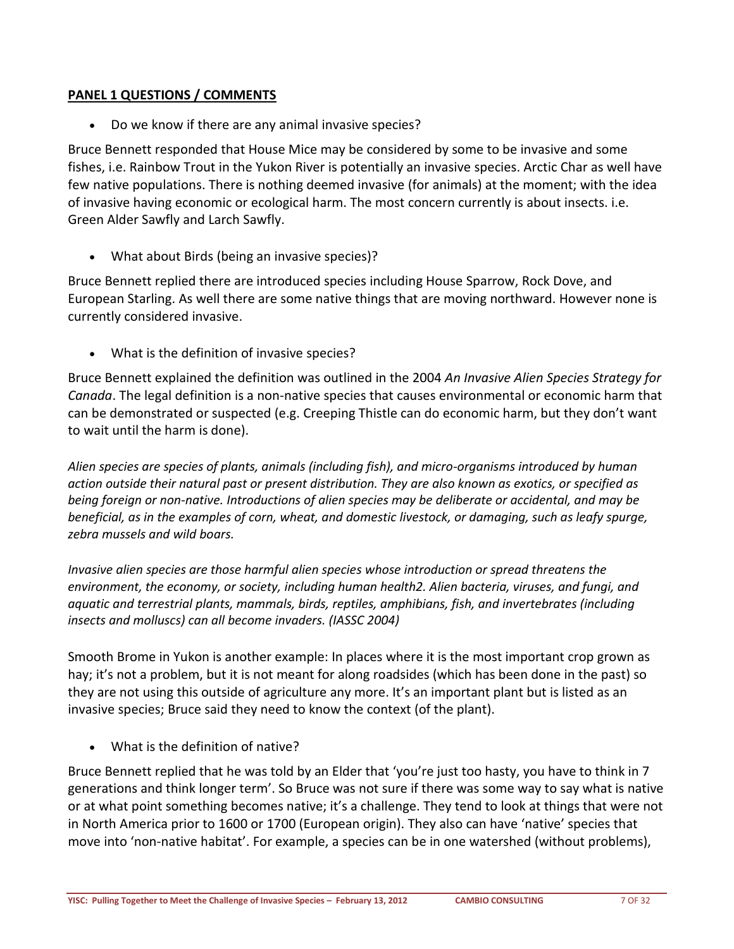#### <span id="page-6-0"></span>**PANEL 1 QUESTIONS / COMMENTS**

• Do we know if there are any animal invasive species?

Bruce Bennett responded that House Mice may be considered by some to be invasive and some fishes, i.e. Rainbow Trout in the Yukon River is potentially an invasive species. Arctic Char as well have few native populations. There is nothing deemed invasive (for animals) at the moment; with the idea of invasive having economic or ecological harm. The most concern currently is about insects. i.e. Green Alder Sawfly and Larch Sawfly.

• What about Birds (being an invasive species)?

Bruce Bennett replied there are introduced species including House Sparrow, Rock Dove, and European Starling. As well there are some native things that are moving northward. However none is currently considered invasive.

• What is the definition of invasive species?

Bruce Bennett explained the definition was outlined in the 2004 *An Invasive Alien Species Strategy for Canada*. The legal definition is a non-native species that causes environmental or economic harm that can be demonstrated or suspected (e.g. Creeping Thistle can do economic harm, but they don't want to wait until the harm is done).

*Alien species are species of plants, animals (including fish), and micro-organisms introduced by human action outside their natural past or present distribution. They are also known as exotics, or specified as being foreign or non-native. Introductions of alien species may be deliberate or accidental, and may be beneficial, as in the examples of corn, wheat, and domestic livestock, or damaging, such as leafy spurge, zebra mussels and wild boars.*

*Invasive alien species are those harmful alien species whose introduction or spread threatens the environment, the economy, or society, including human health2. Alien bacteria, viruses, and fungi, and aquatic and terrestrial plants, mammals, birds, reptiles, amphibians, fish, and invertebrates (including insects and molluscs) can all become invaders. (IASSC 2004)*

Smooth Brome in Yukon is another example: In places where it is the most important crop grown as hay; it's not a problem, but it is not meant for along roadsides (which has been done in the past) so they are not using this outside of agriculture any more. It's an important plant but is listed as an invasive species; Bruce said they need to know the context (of the plant).

• What is the definition of native?

Bruce Bennett replied that he was told by an Elder that 'you're just too hasty, you have to think in 7 generations and think longer term'. So Bruce was not sure if there was some way to say what is native or at what point something becomes native; it's a challenge. They tend to look at things that were not in North America prior to 1600 or 1700 (European origin). They also can have 'native' species that move into 'non-native habitat'. For example, a species can be in one watershed (without problems),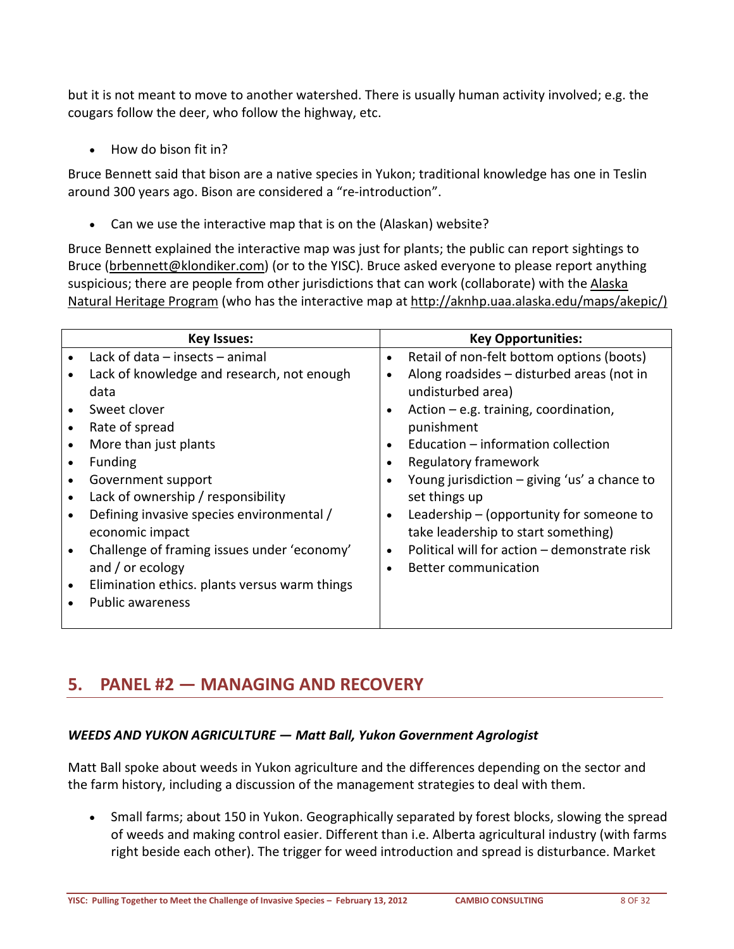but it is not meant to move to another watershed. There is usually human activity involved; e.g. the cougars follow the deer, who follow the highway, etc.

• How do bison fit in?

Bruce Bennett said that bison are a native species in Yukon; traditional knowledge has one in Teslin around 300 years ago. Bison are considered a "re-introduction".

Can we use the interactive map that is on the (Alaskan) website?

Bruce Bennett explained the interactive map was just for plants; the public can report sightings to Bruce [\(brbennett@klondiker.com\)](mailto:brbennett@klondiker.com) (or to the YISC). Bruce asked everyone to please report anything suspicious; there are people from other jurisdictions that can work (collaborate) with the [Alaska](http://aknhp.uaa.alaska.edu/maps/akepic/)  [Natural Heritage Program](http://aknhp.uaa.alaska.edu/maps/akepic/) (who has the interactive map at [http://aknhp.uaa.alaska.edu/maps/akepic/\)](http://aknhp.uaa.alaska.edu/maps/akepic/))

| <b>Key Issues:</b>                                         | <b>Key Opportunities:</b>                                 |  |  |
|------------------------------------------------------------|-----------------------------------------------------------|--|--|
| Lack of data $-$ insects $-$ animal                        | Retail of non-felt bottom options (boots)<br>$\bullet$    |  |  |
| Lack of knowledge and research, not enough                 | Along roadsides - disturbed areas (not in                 |  |  |
| data                                                       | undisturbed area)                                         |  |  |
| Sweet clover                                               | Action $-e.g.$ training, coordination,                    |  |  |
| Rate of spread<br>$\bullet$                                | punishment                                                |  |  |
| More than just plants                                      | Education - information collection                        |  |  |
| <b>Funding</b>                                             | Regulatory framework                                      |  |  |
| Government support                                         | Young jurisdiction - giving 'us' a chance to<br>$\bullet$ |  |  |
| Lack of ownership / responsibility                         | set things up                                             |  |  |
| Defining invasive species environmental /                  | Leadership $-$ (opportunity for someone to                |  |  |
| economic impact                                            | take leadership to start something)                       |  |  |
| Challenge of framing issues under 'economy'                | Political will for action - demonstrate risk<br>$\bullet$ |  |  |
| and / or ecology                                           | <b>Better communication</b><br>$\bullet$                  |  |  |
| Elimination ethics. plants versus warm things<br>$\bullet$ |                                                           |  |  |
| <b>Public awareness</b>                                    |                                                           |  |  |
|                                                            |                                                           |  |  |

### <span id="page-7-0"></span>**5. PANEL #2 — MANAGING AND RECOVERY**

#### <span id="page-7-1"></span>*WEEDS AND YUKON AGRICULTURE — Matt Ball, Yukon Government Agrologist*

Matt Ball spoke about weeds in Yukon agriculture and the differences depending on the sector and the farm history, including a discussion of the management strategies to deal with them.

• Small farms; about 150 in Yukon. Geographically separated by forest blocks, slowing the spread of weeds and making control easier. Different than i.e. Alberta agricultural industry (with farms right beside each other). The trigger for weed introduction and spread is disturbance. Market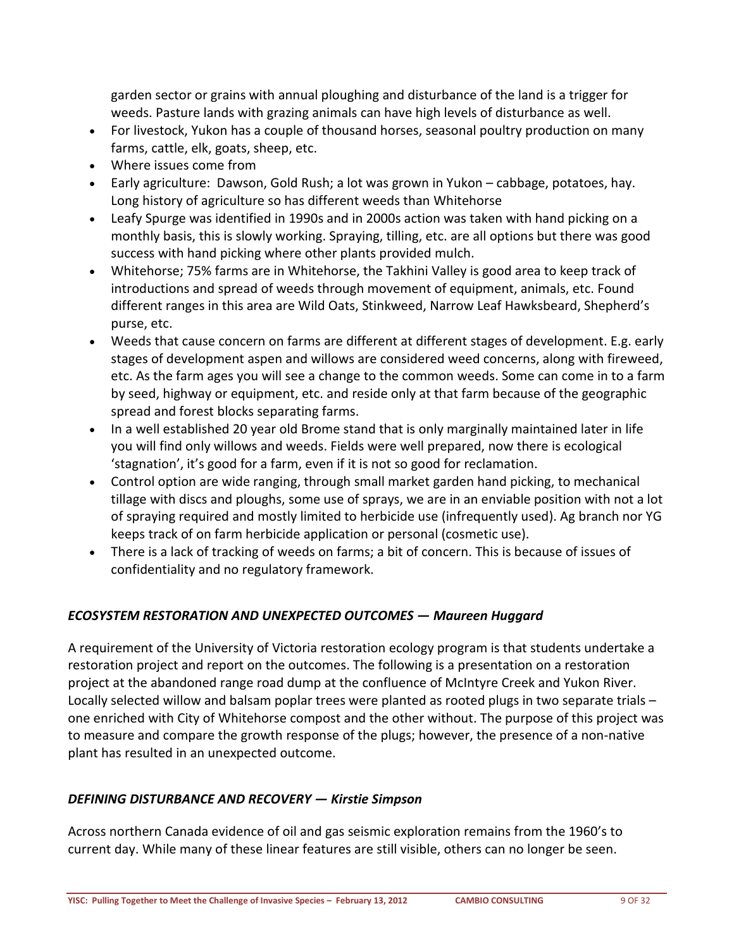garden sector or grains with annual ploughing and disturbance of the land is a trigger for weeds. Pasture lands with grazing animals can have high levels of disturbance as well.

- For livestock, Yukon has a couple of thousand horses, seasonal poultry production on many farms, cattle, elk, goats, sheep, etc.
- Where issues come from
- Early agriculture: Dawson, Gold Rush; a lot was grown in Yukon cabbage, potatoes, hay. Long history of agriculture so has different weeds than Whitehorse
- Leafy Spurge was identified in 1990s and in 2000s action was taken with hand picking on a monthly basis, this is slowly working. Spraying, tilling, etc. are all options but there was good success with hand picking where other plants provided mulch.
- Whitehorse; 75% farms are in Whitehorse, the Takhini Valley is good area to keep track of introductions and spread of weeds through movement of equipment, animals, etc. Found different ranges in this area are Wild Oats, Stinkweed, Narrow Leaf Hawksbeard, Shepherd's purse, etc.
- Weeds that cause concern on farms are different at different stages of development. E.g. early stages of development aspen and willows are considered weed concerns, along with fireweed, etc. As the farm ages you will see a change to the common weeds. Some can come in to a farm by seed, highway or equipment, etc. and reside only at that farm because of the geographic spread and forest blocks separating farms.
- In a well established 20 year old Brome stand that is only marginally maintained later in life you will find only willows and weeds. Fields were well prepared, now there is ecological 'stagnation', it's good for a farm, even if it is not so good for reclamation.
- Control option are wide ranging, through small market garden hand picking, to mechanical tillage with discs and ploughs, some use of sprays, we are in an enviable position with not a lot of spraying required and mostly limited to herbicide use (infrequently used). Ag branch nor YG keeps track of on farm herbicide application or personal (cosmetic use).
- There is a lack of tracking of weeds on farms; a bit of concern. This is because of issues of confidentiality and no regulatory framework.

#### <span id="page-8-0"></span>*ECOSYSTEM RESTORATION AND UNEXPECTED OUTCOMES — Maureen Huggard*

A requirement of the University of Victoria restoration ecology program is that students undertake a restoration project and report on the outcomes. The following is a presentation on a restoration project at the abandoned range road dump at the confluence of McIntyre Creek and Yukon River. Locally selected willow and balsam poplar trees were planted as rooted plugs in two separate trials – one enriched with City of Whitehorse compost and the other without. The purpose of this project was to measure and compare the growth response of the plugs; however, the presence of a non-native plant has resulted in an unexpected outcome.

#### <span id="page-8-1"></span>*DEFINING DISTURBANCE AND RECOVERY — Kirstie Simpson*

Across northern Canada evidence of oil and gas seismic exploration remains from the 1960's to current day. While many of these linear features are still visible, others can no longer be seen.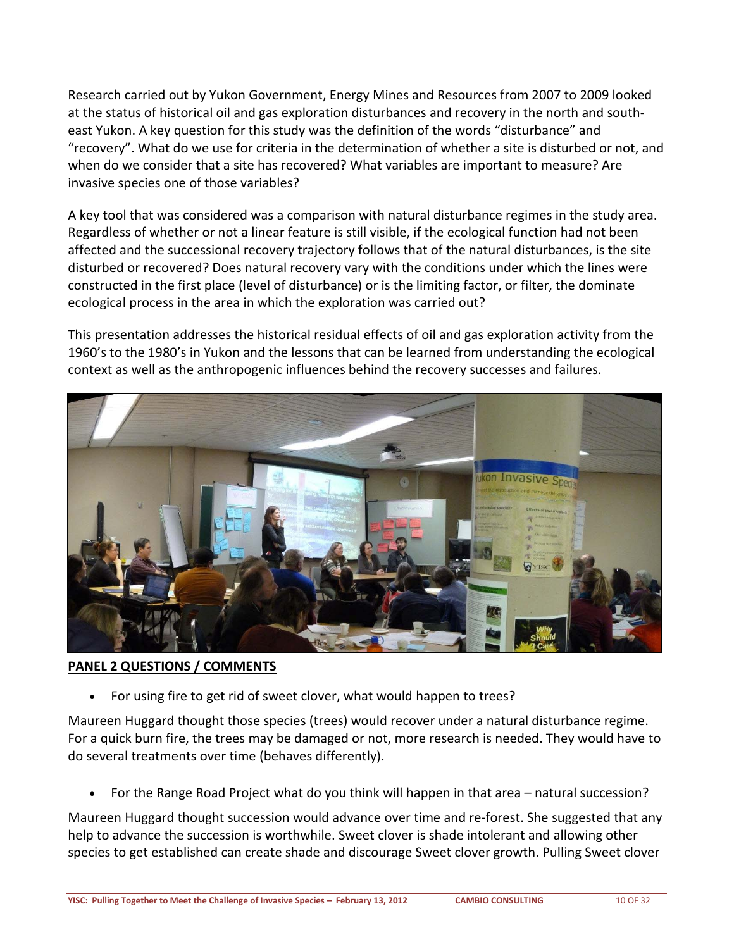Research carried out by Yukon Government, Energy Mines and Resources from 2007 to 2009 looked at the status of historical oil and gas exploration disturbances and recovery in the north and southeast Yukon. A key question for this study was the definition of the words "disturbance" and "recovery". What do we use for criteria in the determination of whether a site is disturbed or not, and when do we consider that a site has recovered? What variables are important to measure? Are invasive species one of those variables?

A key tool that was considered was a comparison with natural disturbance regimes in the study area. Regardless of whether or not a linear feature is still visible, if the ecological function had not been affected and the successional recovery trajectory follows that of the natural disturbances, is the site disturbed or recovered? Does natural recovery vary with the conditions under which the lines were constructed in the first place (level of disturbance) or is the limiting factor, or filter, the dominate ecological process in the area in which the exploration was carried out?

This presentation addresses the historical residual effects of oil and gas exploration activity from the 1960's to the 1980's in Yukon and the lessons that can be learned from understanding the ecological context as well as the anthropogenic influences behind the recovery successes and failures.



#### <span id="page-9-0"></span>**PANEL 2 QUESTIONS / COMMENTS**

• For using fire to get rid of sweet clover, what would happen to trees?

Maureen Huggard thought those species (trees) would recover under a natural disturbance regime. For a quick burn fire, the trees may be damaged or not, more research is needed. They would have to do several treatments over time (behaves differently).

• For the Range Road Project what do you think will happen in that area – natural succession?

Maureen Huggard thought succession would advance over time and re-forest. She suggested that any help to advance the succession is worthwhile. Sweet clover is shade intolerant and allowing other species to get established can create shade and discourage Sweet clover growth. Pulling Sweet clover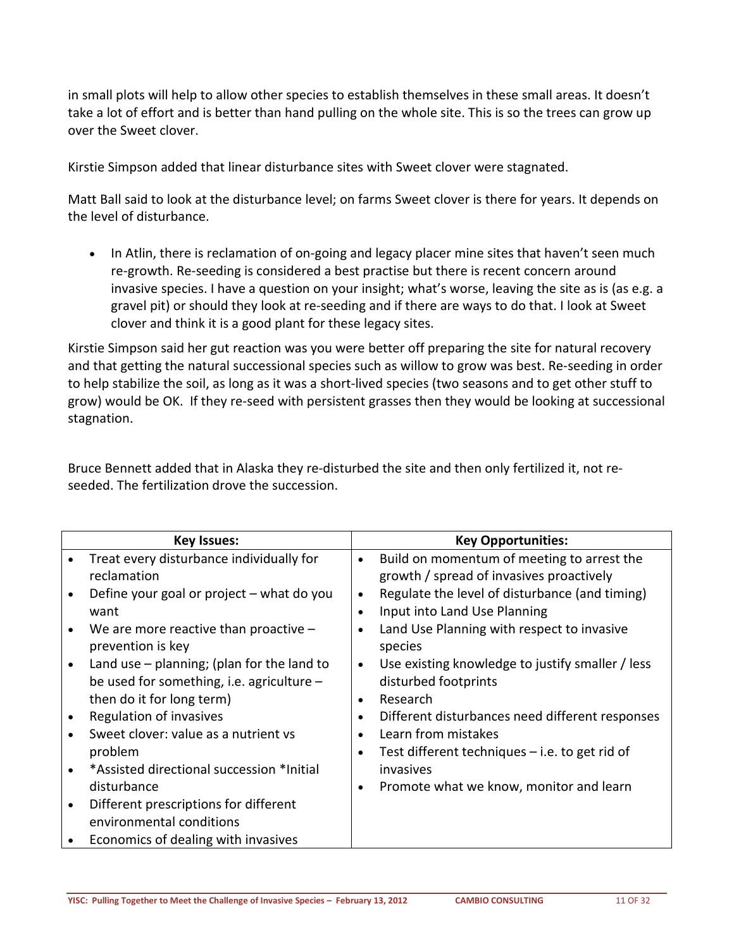in small plots will help to allow other species to establish themselves in these small areas. It doesn't take a lot of effort and is better than hand pulling on the whole site. This is so the trees can grow up over the Sweet clover.

Kirstie Simpson added that linear disturbance sites with Sweet clover were stagnated.

Matt Ball said to look at the disturbance level; on farms Sweet clover is there for years. It depends on the level of disturbance.

• In Atlin, there is reclamation of on-going and legacy placer mine sites that haven't seen much re-growth. Re-seeding is considered a best practise but there is recent concern around invasive species. I have a question on your insight; what's worse, leaving the site as is (as e.g. a gravel pit) or should they look at re-seeding and if there are ways to do that. I look at Sweet clover and think it is a good plant for these legacy sites.

Kirstie Simpson said her gut reaction was you were better off preparing the site for natural recovery and that getting the natural successional species such as willow to grow was best. Re-seeding in order to help stabilize the soil, as long as it was a short-lived species (two seasons and to get other stuff to grow) would be OK. If they re-seed with persistent grasses then they would be looking at successional stagnation.

Bruce Bennett added that in Alaska they re-disturbed the site and then only fertilized it, not reseeded. The fertilization drove the succession.

| <b>Key Issues:</b> |                                              |           | <b>Key Opportunities:</b>                        |  |  |
|--------------------|----------------------------------------------|-----------|--------------------------------------------------|--|--|
|                    | Treat every disturbance individually for     | $\bullet$ | Build on momentum of meeting to arrest the       |  |  |
|                    | reclamation                                  |           | growth / spread of invasives proactively         |  |  |
|                    | Define your goal or project – what do you    | $\bullet$ | Regulate the level of disturbance (and timing)   |  |  |
|                    | want                                         | $\bullet$ | Input into Land Use Planning                     |  |  |
|                    | We are more reactive than proactive $-$      | $\bullet$ | Land Use Planning with respect to invasive       |  |  |
|                    | prevention is key                            |           | species                                          |  |  |
|                    | Land use $-$ planning; (plan for the land to | $\bullet$ | Use existing knowledge to justify smaller / less |  |  |
|                    | be used for something, i.e. agriculture $-$  |           | disturbed footprints                             |  |  |
|                    | then do it for long term)                    | $\bullet$ | Research                                         |  |  |
|                    | Regulation of invasives                      | $\bullet$ | Different disturbances need different responses  |  |  |
|                    | Sweet clover: value as a nutrient vs         | $\bullet$ | Learn from mistakes                              |  |  |
|                    | problem                                      | $\bullet$ | Test different techniques $-$ i.e. to get rid of |  |  |
|                    | *Assisted directional succession *Initial    |           | invasives                                        |  |  |
|                    | disturbance                                  | $\bullet$ | Promote what we know, monitor and learn          |  |  |
|                    | Different prescriptions for different        |           |                                                  |  |  |
|                    | environmental conditions                     |           |                                                  |  |  |
|                    | Economics of dealing with invasives          |           |                                                  |  |  |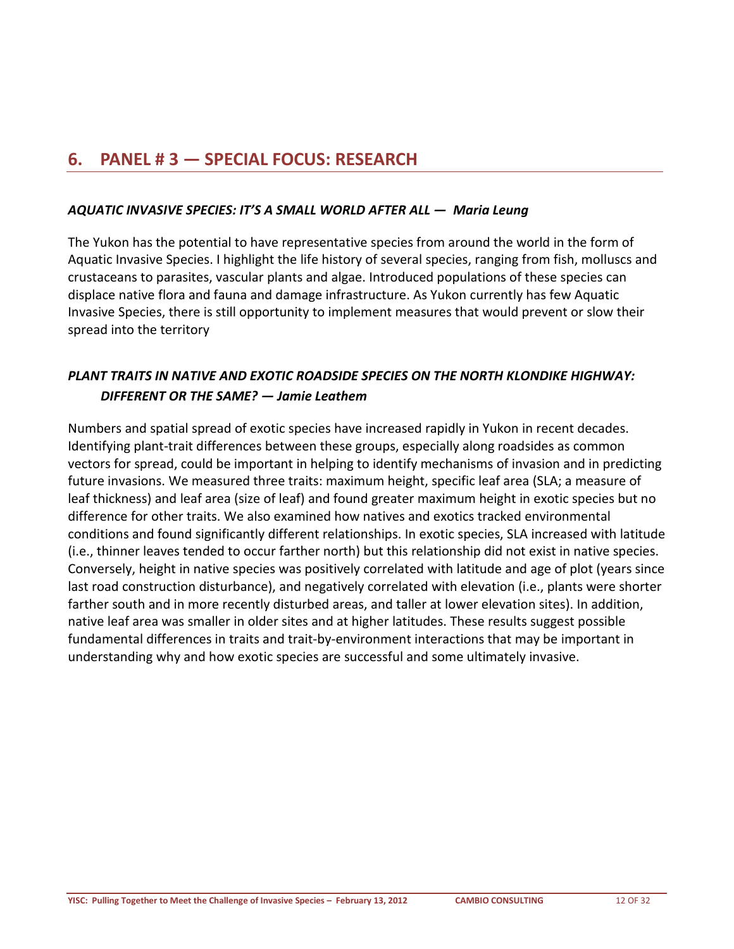### <span id="page-11-0"></span>**6. PANEL # 3 — SPECIAL FOCUS: RESEARCH**

#### <span id="page-11-1"></span>*AQUATIC INVASIVE SPECIES: IT'S A SMALL WORLD AFTER ALL — Maria Leung*

The Yukon has the potential to have representative species from around the world in the form of Aquatic Invasive Species. I highlight the life history of several species, ranging from fish, molluscs and crustaceans to parasites, vascular plants and algae. Introduced populations of these species can displace native flora and fauna and damage infrastructure. As Yukon currently has few Aquatic Invasive Species, there is still opportunity to implement measures that would prevent or slow their spread into the territory

#### <span id="page-11-2"></span>*PLANT TRAITS IN NATIVE AND EXOTIC ROADSIDE SPECIES ON THE NORTH KLONDIKE HIGHWAY: DIFFERENT OR THE SAME? — Jamie Leathem*

Numbers and spatial spread of exotic species have increased rapidly in Yukon in recent decades. Identifying plant-trait differences between these groups, especially along roadsides as common vectors for spread, could be important in helping to identify mechanisms of invasion and in predicting future invasions. We measured three traits: maximum height, specific leaf area (SLA; a measure of leaf thickness) and leaf area (size of leaf) and found greater maximum height in exotic species but no difference for other traits. We also examined how natives and exotics tracked environmental conditions and found significantly different relationships. In exotic species, SLA increased with latitude (i.e., thinner leaves tended to occur farther north) but this relationship did not exist in native species. Conversely, height in native species was positively correlated with latitude and age of plot (years since last road construction disturbance), and negatively correlated with elevation (i.e., plants were shorter farther south and in more recently disturbed areas, and taller at lower elevation sites). In addition, native leaf area was smaller in older sites and at higher latitudes. These results suggest possible fundamental differences in traits and trait-by-environment interactions that may be important in understanding why and how exotic species are successful and some ultimately invasive.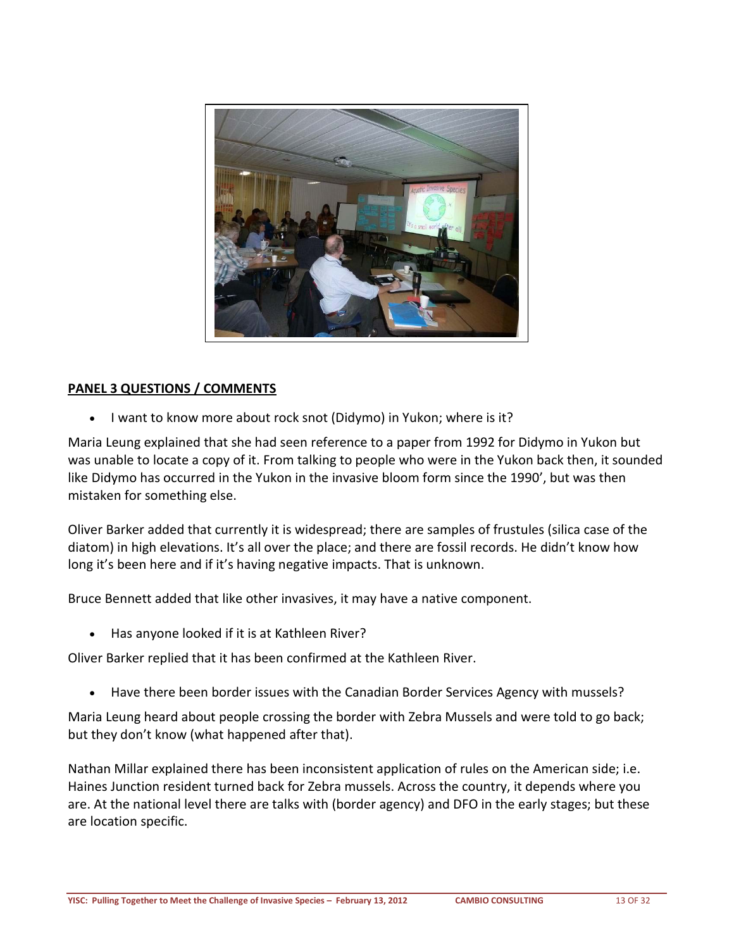

#### <span id="page-12-0"></span>**PANEL 3 QUESTIONS / COMMENTS**

• I want to know more about rock snot (Didymo) in Yukon; where is it?

Maria Leung explained that she had seen reference to a paper from 1992 for Didymo in Yukon but was unable to locate a copy of it. From talking to people who were in the Yukon back then, it sounded like Didymo has occurred in the Yukon in the invasive bloom form since the 1990', but was then mistaken for something else.

Oliver Barker added that currently it is widespread; there are samples of frustules (silica case of the diatom) in high elevations. It's all over the place; and there are fossil records. He didn't know how long it's been here and if it's having negative impacts. That is unknown.

Bruce Bennett added that like other invasives, it may have a native component.

• Has anyone looked if it is at Kathleen River?

Oliver Barker replied that it has been confirmed at the Kathleen River.

• Have there been border issues with the Canadian Border Services Agency with mussels?

Maria Leung heard about people crossing the border with Zebra Mussels and were told to go back; but they don't know (what happened after that).

Nathan Millar explained there has been inconsistent application of rules on the American side; i.e. Haines Junction resident turned back for Zebra mussels. Across the country, it depends where you are. At the national level there are talks with (border agency) and DFO in the early stages; but these are location specific.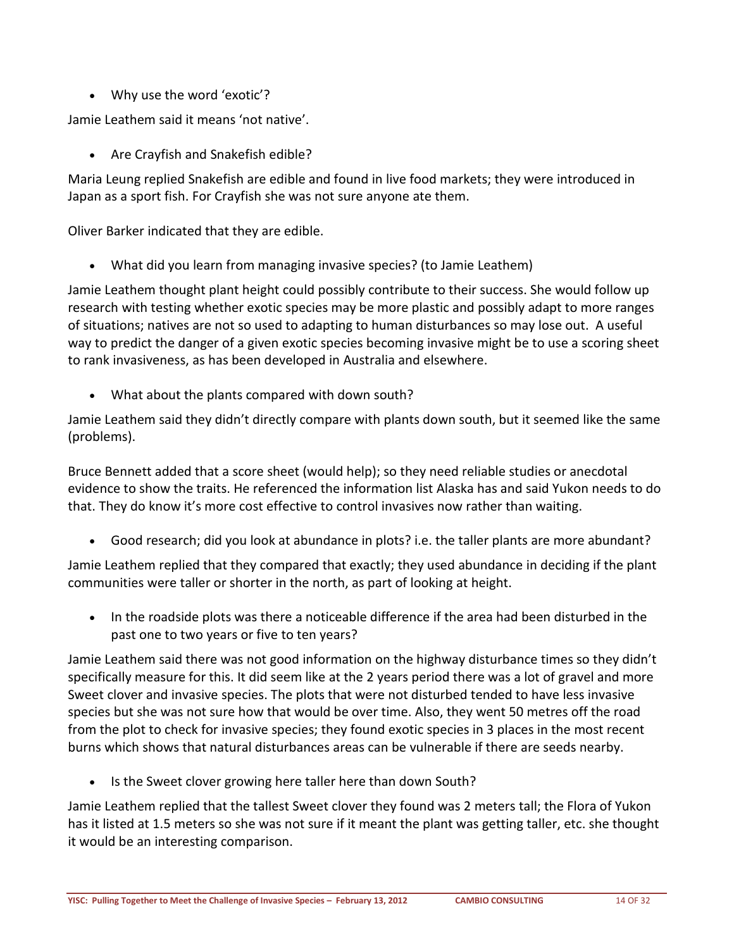• Why use the word 'exotic'?

Jamie Leathem said it means 'not native'.

• Are Crayfish and Snakefish edible?

Maria Leung replied Snakefish are edible and found in live food markets; they were introduced in Japan as a sport fish. For Crayfish she was not sure anyone ate them.

Oliver Barker indicated that they are edible.

• What did you learn from managing invasive species? (to Jamie Leathem)

Jamie Leathem thought plant height could possibly contribute to their success. She would follow up research with testing whether exotic species may be more plastic and possibly adapt to more ranges of situations; natives are not so used to adapting to human disturbances so may lose out. A useful way to predict the danger of a given exotic species becoming invasive might be to use a scoring sheet to rank invasiveness, as has been developed in Australia and elsewhere.

• What about the plants compared with down south?

Jamie Leathem said they didn't directly compare with plants down south, but it seemed like the same (problems).

Bruce Bennett added that a score sheet (would help); so they need reliable studies or anecdotal evidence to show the traits. He referenced the information list Alaska has and said Yukon needs to do that. They do know it's more cost effective to control invasives now rather than waiting.

• Good research; did you look at abundance in plots? i.e. the taller plants are more abundant?

Jamie Leathem replied that they compared that exactly; they used abundance in deciding if the plant communities were taller or shorter in the north, as part of looking at height.

• In the roadside plots was there a noticeable difference if the area had been disturbed in the past one to two years or five to ten years?

Jamie Leathem said there was not good information on the highway disturbance times so they didn't specifically measure for this. It did seem like at the 2 years period there was a lot of gravel and more Sweet clover and invasive species. The plots that were not disturbed tended to have less invasive species but she was not sure how that would be over time. Also, they went 50 metres off the road from the plot to check for invasive species; they found exotic species in 3 places in the most recent burns which shows that natural disturbances areas can be vulnerable if there are seeds nearby.

• Is the Sweet clover growing here taller here than down South?

Jamie Leathem replied that the tallest Sweet clover they found was 2 meters tall; the Flora of Yukon has it listed at 1.5 meters so she was not sure if it meant the plant was getting taller, etc. she thought it would be an interesting comparison.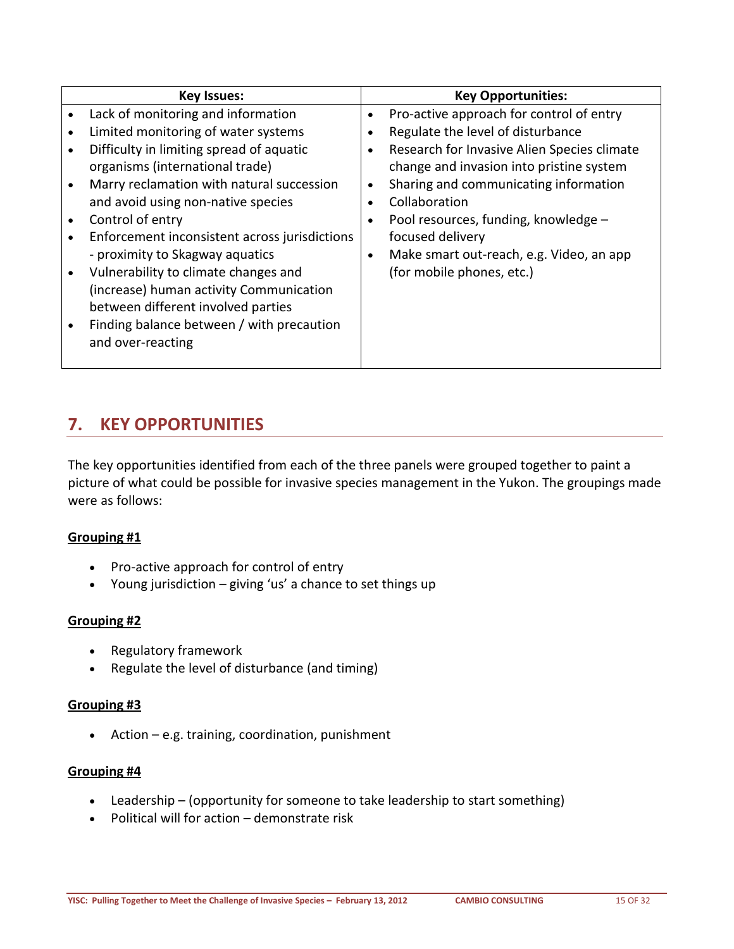| <b>Key Issues:</b>                            |           | <b>Key Opportunities:</b>                   |
|-----------------------------------------------|-----------|---------------------------------------------|
| Lack of monitoring and information            | $\bullet$ | Pro-active approach for control of entry    |
| Limited monitoring of water systems           | $\bullet$ | Regulate the level of disturbance           |
| Difficulty in limiting spread of aquatic      | $\bullet$ | Research for Invasive Alien Species climate |
| organisms (international trade)               |           | change and invasion into pristine system    |
| Marry reclamation with natural succession     | $\bullet$ | Sharing and communicating information       |
| and avoid using non-native species            |           | Collaboration                               |
| Control of entry                              |           | Pool resources, funding, knowledge -        |
| Enforcement inconsistent across jurisdictions |           | focused delivery                            |
| - proximity to Skagway aquatics               | $\bullet$ | Make smart out-reach, e.g. Video, an app    |
| Vulnerability to climate changes and          |           | (for mobile phones, etc.)                   |
| (increase) human activity Communication       |           |                                             |
| between different involved parties            |           |                                             |
| Finding balance between / with precaution     |           |                                             |
| and over-reacting                             |           |                                             |
|                                               |           |                                             |

### <span id="page-14-0"></span>**7. KEY OPPORTUNITIES**

The key opportunities identified from each of the three panels were grouped together to paint a picture of what could be possible for invasive species management in the Yukon. The groupings made were as follows:

#### **Grouping #1**

- Pro-active approach for control of entry
- Young jurisdiction giving 'us' a chance to set things up

#### **Grouping #2**

- Regulatory framework
- Regulate the level of disturbance (and timing)

#### **Grouping #3**

• Action – e.g. training, coordination, punishment

#### **Grouping #4**

- Leadership (opportunity for someone to take leadership to start something)
- Political will for action demonstrate risk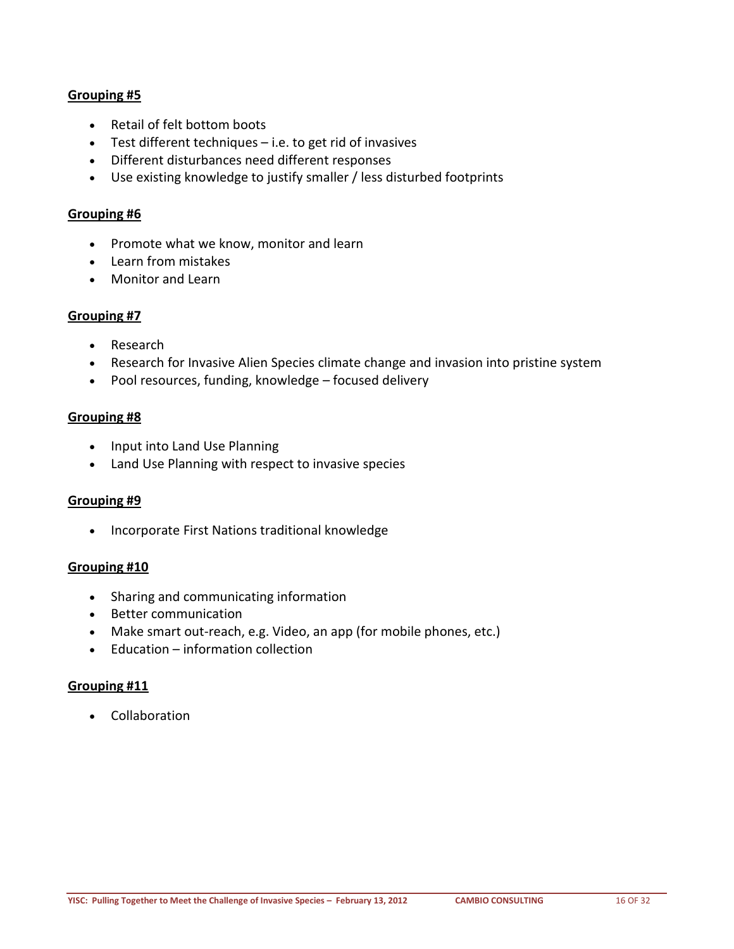#### **Grouping #5**

- Retail of felt bottom boots
- Test different techniques i.e. to get rid of invasives
- Different disturbances need different responses
- Use existing knowledge to justify smaller / less disturbed footprints

#### **Grouping #6**

- Promote what we know, monitor and learn
- Learn from mistakes
- Monitor and Learn

#### **Grouping #7**

- Research
- Research for Invasive Alien Species climate change and invasion into pristine system
- Pool resources, funding, knowledge focused delivery

#### **Grouping #8**

- Input into Land Use Planning
- Land Use Planning with respect to invasive species

#### **Grouping #9**

• Incorporate First Nations traditional knowledge

#### **Grouping #10**

- Sharing and communicating information
- Better communication
- Make smart out-reach, e.g. Video, an app (for mobile phones, etc.)
- Education information collection

#### **Grouping #11**

• Collaboration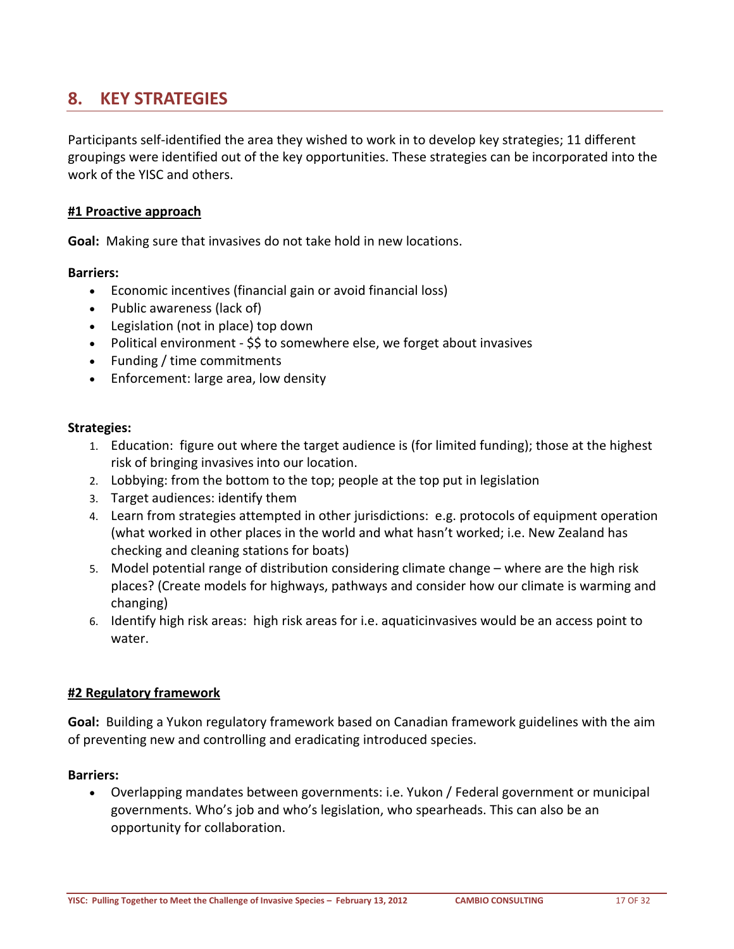### <span id="page-16-0"></span>**8. KEY STRATEGIES**

Participants self-identified the area they wished to work in to develop key strategies; 11 different groupings were identified out of the key opportunities. These strategies can be incorporated into the work of the YISC and others.

#### <span id="page-16-1"></span>**#1 Proactive approach**

**Goal:** Making sure that invasives do not take hold in new locations.

#### **Barriers:**

- Economic incentives (financial gain or avoid financial loss)
- Public awareness (lack of)
- Legislation (not in place) top down
- Political environment \$\$ to somewhere else, we forget about invasives
- Funding / time commitments
- Enforcement: large area, low density

#### **Strategies:**

- 1. Education: figure out where the target audience is (for limited funding); those at the highest risk of bringing invasives into our location.
- 2. Lobbying: from the bottom to the top; people at the top put in legislation
- 3. Target audiences: identify them
- 4. Learn from strategies attempted in other jurisdictions: e.g. protocols of equipment operation (what worked in other places in the world and what hasn't worked; i.e. New Zealand has checking and cleaning stations for boats)
- 5. Model potential range of distribution considering climate change where are the high risk places? (Create models for highways, pathways and consider how our climate is warming and changing)
- 6. Identify high risk areas: high risk areas for i.e. aquaticinvasives would be an access point to water.

#### <span id="page-16-2"></span>**#2 Regulatory framework**

**Goal:** Building a Yukon regulatory framework based on Canadian framework guidelines with the aim of preventing new and controlling and eradicating introduced species.

#### **Barriers:**

• Overlapping mandates between governments: i.e. Yukon / Federal government or municipal governments. Who's job and who's legislation, who spearheads. This can also be an opportunity for collaboration.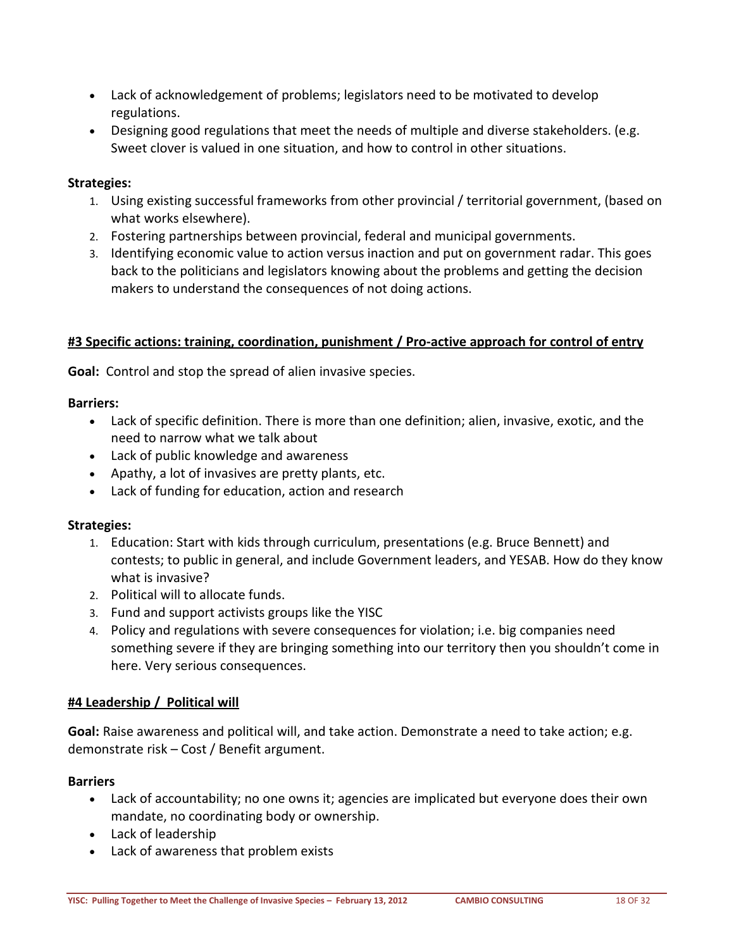- Lack of acknowledgement of problems; legislators need to be motivated to develop regulations.
- Designing good regulations that meet the needs of multiple and diverse stakeholders. (e.g. Sweet clover is valued in one situation, and how to control in other situations.

#### **Strategies:**

- 1. Using existing successful frameworks from other provincial / territorial government, (based on what works elsewhere).
- 2. Fostering partnerships between provincial, federal and municipal governments.
- 3. Identifying economic value to action versus inaction and put on government radar. This goes back to the politicians and legislators knowing about the problems and getting the decision makers to understand the consequences of not doing actions.

#### <span id="page-17-0"></span>**#3 Specific actions: training, coordination, punishment / Pro-active approach for control of entry**

**Goal:** Control and stop the spread of alien invasive species.

#### **Barriers:**

- Lack of specific definition. There is more than one definition; alien, invasive, exotic, and the need to narrow what we talk about
- Lack of public knowledge and awareness
- Apathy, a lot of invasives are pretty plants, etc.
- Lack of funding for education, action and research

#### **Strategies:**

- 1. Education: Start with kids through curriculum, presentations (e.g. Bruce Bennett) and contests; to public in general, and include Government leaders, and YESAB. How do they know what is invasive?
- 2. Political will to allocate funds.
- 3. Fund and support activists groups like the YISC
- 4. Policy and regulations with severe consequences for violation; i.e. big companies need something severe if they are bringing something into our territory then you shouldn't come in here. Very serious consequences.

#### <span id="page-17-1"></span>**#4 Leadership / Political will**

**Goal:** Raise awareness and political will, and take action. Demonstrate a need to take action; e.g. demonstrate risk – Cost / Benefit argument.

#### **Barriers**

- Lack of accountability; no one owns it; agencies are implicated but everyone does their own mandate, no coordinating body or ownership.
- Lack of leadership
- Lack of awareness that problem exists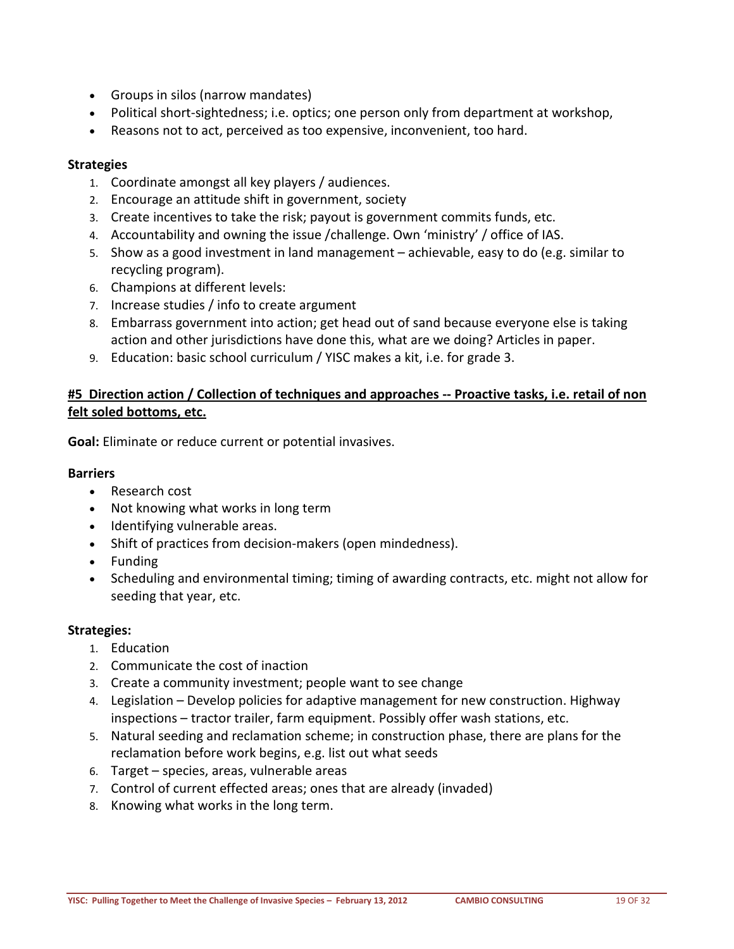- Groups in silos (narrow mandates)
- Political short-sightedness; i.e. optics; one person only from department at workshop,
- Reasons not to act, perceived as too expensive, inconvenient, too hard.

#### **Strategies**

- 1. Coordinate amongst all key players / audiences.
- 2. Encourage an attitude shift in government, society
- 3. Create incentives to take the risk; payout is government commits funds, etc.
- 4. Accountability and owning the issue /challenge. Own 'ministry' / office of IAS.
- 5. Show as a good investment in land management achievable, easy to do (e.g. similar to recycling program).
- 6. Champions at different levels:
- 7. Increase studies / info to create argument
- 8. Embarrass government into action; get head out of sand because everyone else is taking action and other jurisdictions have done this, what are we doing? Articles in paper.
- 9. Education: basic school curriculum / YISC makes a kit, i.e. for grade 3.

#### <span id="page-18-0"></span>**#5 Direction action / Collection of techniques and approaches -- Proactive tasks, i.e. retail of non felt soled bottoms, etc.**

**Goal:** Eliminate or reduce current or potential invasives.

#### **Barriers**

- Research cost
- Not knowing what works in long term
- Identifying vulnerable areas.
- Shift of practices from decision-makers (open mindedness).
- Funding
- Scheduling and environmental timing; timing of awarding contracts, etc. might not allow for seeding that year, etc.

#### **Strategies:**

- 1. Education
- 2. Communicate the cost of inaction
- 3. Create a community investment; people want to see change
- 4. Legislation Develop policies for adaptive management for new construction. Highway inspections – tractor trailer, farm equipment. Possibly offer wash stations, etc.
- 5. Natural seeding and reclamation scheme; in construction phase, there are plans for the reclamation before work begins, e.g. list out what seeds
- 6. Target species, areas, vulnerable areas
- 7. Control of current effected areas; ones that are already (invaded)
- 8. Knowing what works in the long term.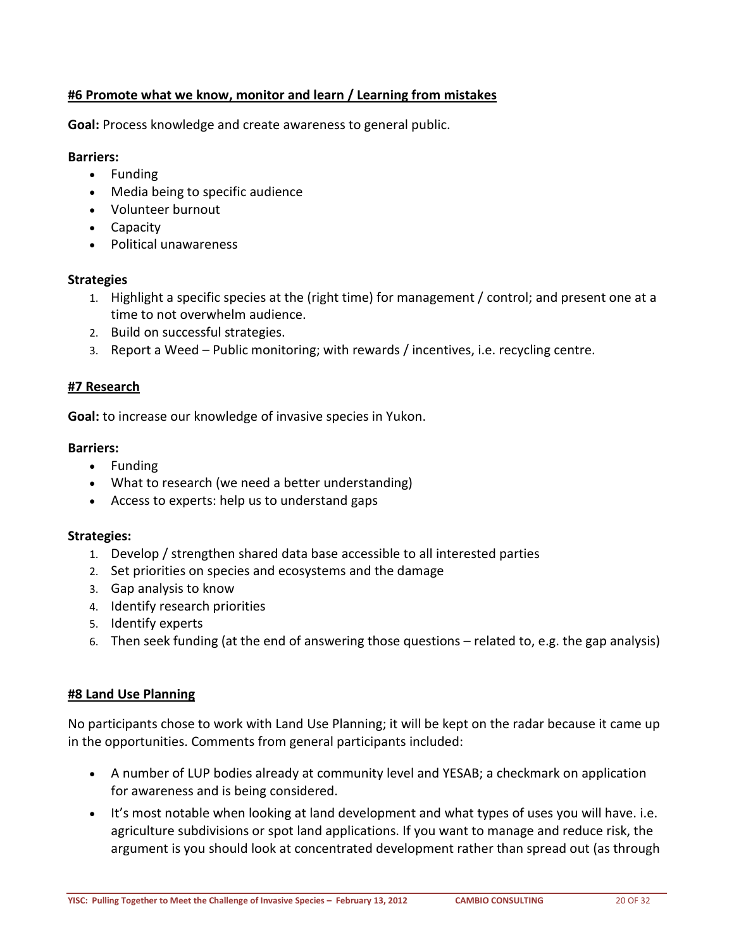#### <span id="page-19-0"></span>**#6 Promote what we know, monitor and learn / Learning from mistakes**

**Goal:** Process knowledge and create awareness to general public.

#### **Barriers:**

- Funding
- Media being to specific audience
- Volunteer burnout
- Capacity
- Political unawareness

#### **Strategies**

- 1. Highlight a specific species at the (right time) for management / control; and present one at a time to not overwhelm audience.
- 2. Build on successful strategies.
- 3. Report a Weed Public monitoring; with rewards / incentives, i.e. recycling centre.

#### <span id="page-19-1"></span>**#7 Research**

**Goal:** to increase our knowledge of invasive species in Yukon.

#### **Barriers:**

- Funding
- What to research (we need a better understanding)
- Access to experts: help us to understand gaps

#### **Strategies:**

- 1. Develop / strengthen shared data base accessible to all interested parties
- 2. Set priorities on species and ecosystems and the damage
- 3. Gap analysis to know
- 4. Identify research priorities
- 5. Identify experts
- 6. Then seek funding (at the end of answering those questions related to, e.g. the gap analysis)

#### <span id="page-19-2"></span>**#8 Land Use Planning**

No participants chose to work with Land Use Planning; it will be kept on the radar because it came up in the opportunities. Comments from general participants included:

- A number of LUP bodies already at community level and YESAB; a checkmark on application for awareness and is being considered.
- It's most notable when looking at land development and what types of uses you will have. i.e. agriculture subdivisions or spot land applications. If you want to manage and reduce risk, the argument is you should look at concentrated development rather than spread out (as through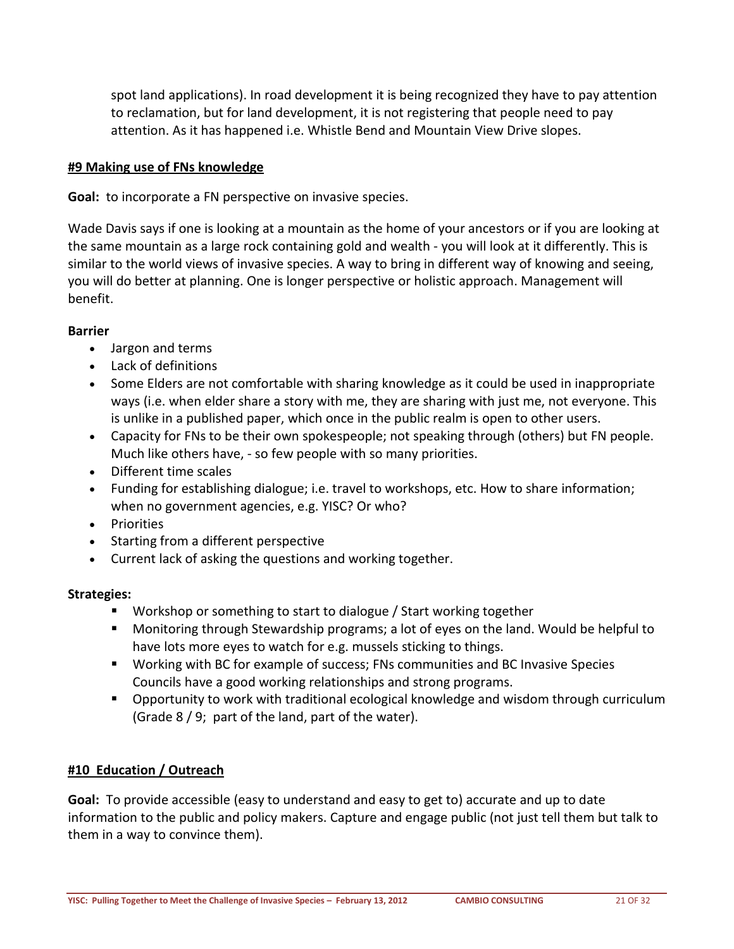spot land applications). In road development it is being recognized they have to pay attention to reclamation, but for land development, it is not registering that people need to pay attention. As it has happened i.e. Whistle Bend and Mountain View Drive slopes.

#### <span id="page-20-0"></span>**#9 Making use of FNs knowledge**

**Goal:** to incorporate a FN perspective on invasive species.

Wade Davis says if one is looking at a mountain as the home of your ancestors or if you are looking at the same mountain as a large rock containing gold and wealth - you will look at it differently. This is similar to the world views of invasive species. A way to bring in different way of knowing and seeing, you will do better at planning. One is longer perspective or holistic approach. Management will benefit.

#### **Barrier**

- Jargon and terms
- Lack of definitions
- Some Elders are not comfortable with sharing knowledge as it could be used in inappropriate ways (i.e. when elder share a story with me, they are sharing with just me, not everyone. This is unlike in a published paper, which once in the public realm is open to other users.
- Capacity for FNs to be their own spokespeople; not speaking through (others) but FN people. Much like others have, - so few people with so many priorities.
- Different time scales
- Funding for establishing dialogue; i.e. travel to workshops, etc. How to share information; when no government agencies, e.g. YISC? Or who?
- Priorities
- Starting from a different perspective
- Current lack of asking the questions and working together.

#### **Strategies:**

- **Workshop or something to start to dialogue / Start working together**
- Monitoring through Stewardship programs; a lot of eyes on the land. Would be helpful to have lots more eyes to watch for e.g. mussels sticking to things.
- Working with BC for example of success; FNs communities and BC Invasive Species Councils have a good working relationships and strong programs.
- Opportunity to work with traditional ecological knowledge and wisdom through curriculum (Grade 8 / 9; part of the land, part of the water).

#### <span id="page-20-1"></span>**#10 Education / Outreach**

**Goal:** To provide accessible (easy to understand and easy to get to) accurate and up to date information to the public and policy makers. Capture and engage public (not just tell them but talk to them in a way to convince them).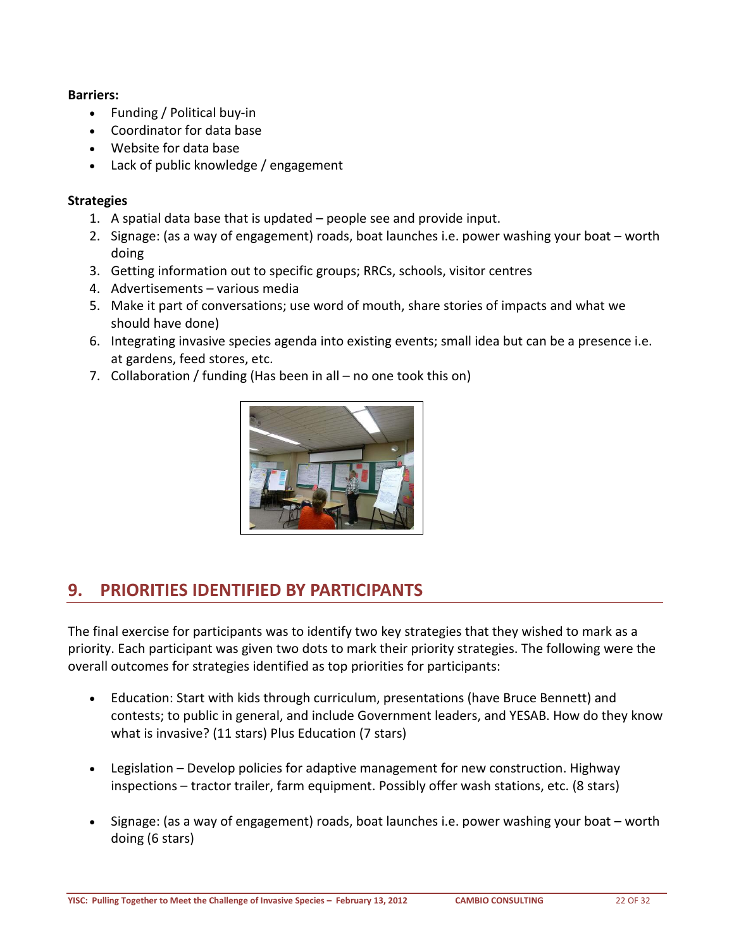#### **Barriers:**

- Funding / Political buy-in
- Coordinator for data base
- Website for data base
- Lack of public knowledge / engagement

#### **Strategies**

- 1. A spatial data base that is updated people see and provide input.
- 2. Signage: (as a way of engagement) roads, boat launches i.e. power washing your boat worth doing
- 3. Getting information out to specific groups; RRCs, schools, visitor centres
- 4. Advertisements various media
- 5. Make it part of conversations; use word of mouth, share stories of impacts and what we should have done)
- 6. Integrating invasive species agenda into existing events; small idea but can be a presence i.e. at gardens, feed stores, etc.
- 7. Collaboration / funding (Has been in all no one took this on)



### <span id="page-21-0"></span>**9. PRIORITIES IDENTIFIED BY PARTICIPANTS**

The final exercise for participants was to identify two key strategies that they wished to mark as a priority. Each participant was given two dots to mark their priority strategies. The following were the overall outcomes for strategies identified as top priorities for participants:

- Education: Start with kids through curriculum, presentations (have Bruce Bennett) and contests; to public in general, and include Government leaders, and YESAB. How do they know what is invasive? (11 stars) Plus Education (7 stars)
- Legislation Develop policies for adaptive management for new construction. Highway inspections – tractor trailer, farm equipment. Possibly offer wash stations, etc. (8 stars)
- Signage: (as a way of engagement) roads, boat launches i.e. power washing your boat worth doing (6 stars)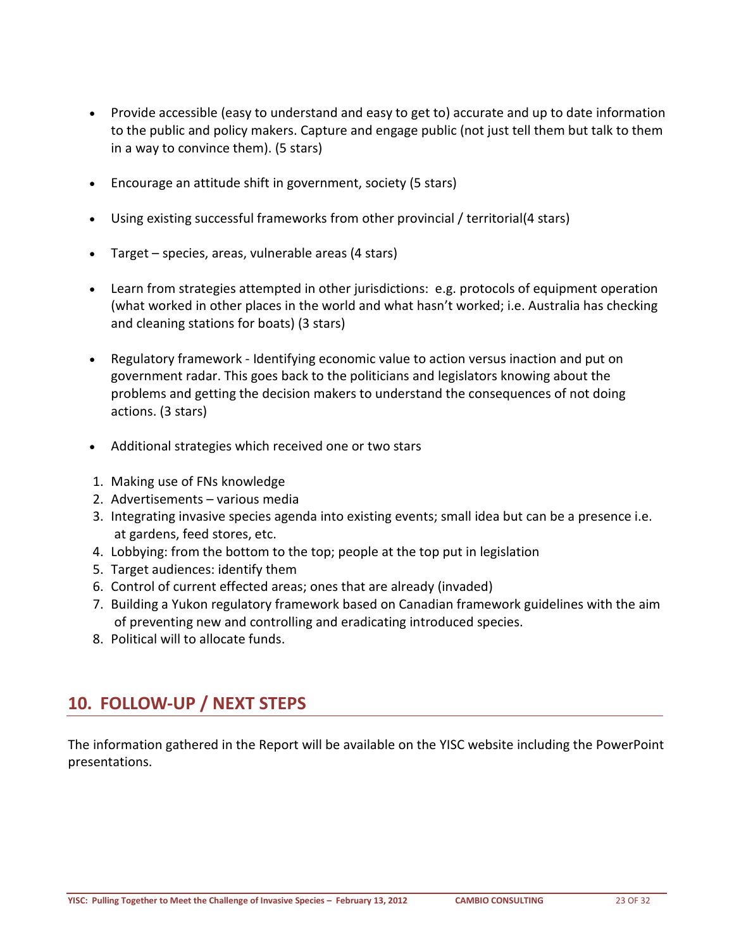- Provide accessible (easy to understand and easy to get to) accurate and up to date information to the public and policy makers. Capture and engage public (not just tell them but talk to them in a way to convince them). (5 stars)
- Encourage an attitude shift in government, society (5 stars)
- Using existing successful frameworks from other provincial / territorial(4 stars)
- Target species, areas, vulnerable areas (4 stars)
- Learn from strategies attempted in other jurisdictions: e.g. protocols of equipment operation (what worked in other places in the world and what hasn't worked; i.e. Australia has checking and cleaning stations for boats) (3 stars)
- Regulatory framework Identifying economic value to action versus inaction and put on government radar. This goes back to the politicians and legislators knowing about the problems and getting the decision makers to understand the consequences of not doing actions. (3 stars)
- Additional strategies which received one or two stars
- 1. Making use of FNs knowledge
- 2. Advertisements various media
- 3. Integrating invasive species agenda into existing events; small idea but can be a presence i.e. at gardens, feed stores, etc.
- 4. Lobbying: from the bottom to the top; people at the top put in legislation
- 5. Target audiences: identify them
- 6. Control of current effected areas; ones that are already (invaded)
- 7. Building a Yukon regulatory framework based on Canadian framework guidelines with the aim of preventing new and controlling and eradicating introduced species.
- <span id="page-22-0"></span>8. Political will to allocate funds.

### **10. FOLLOW-UP / NEXT STEPS**

The information gathered in the Report will be available on the YISC website including the PowerPoint presentations.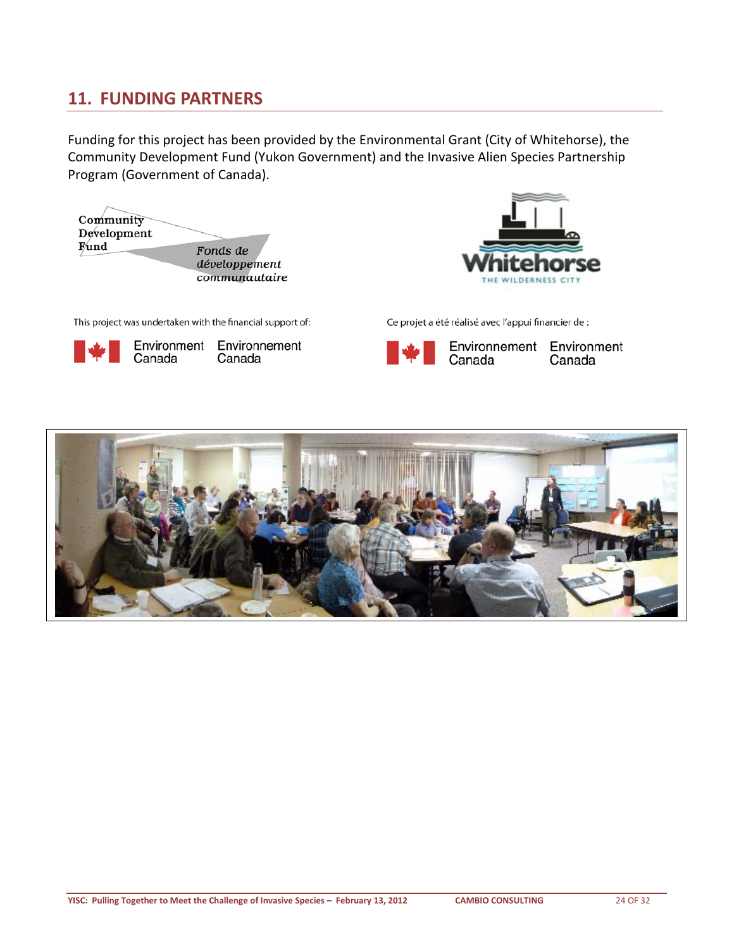### <span id="page-23-0"></span>**11. FUNDING PARTNERS**

Funding for this project has been provided by the Environmental Grant (City of Whitehorse), the Community Development Fund (Yukon Government) and the Invasive Alien Species Partnership Program (Government of Canada).



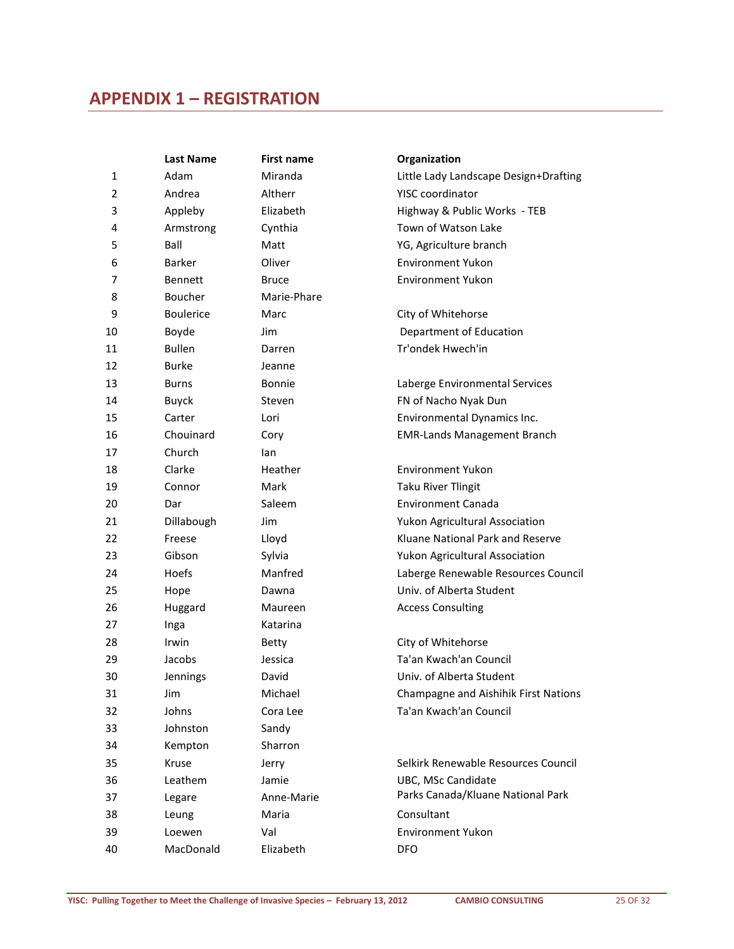### <span id="page-24-0"></span>**APPENDIX 1 – REGISTRATION**

|    | <b>Last Name</b> | <b>First name</b> | Organization                          |
|----|------------------|-------------------|---------------------------------------|
| 1  | Adam             | Miranda           | Little Lady Landscape Design+Drafting |
| 2  | Andrea           | Altherr           | <b>YISC</b> coordinator               |
| 3  | Appleby          | Elizabeth         | Highway & Public Works - TEB          |
| 4  | Armstrong        | Cynthia           | Town of Watson Lake                   |
| 5  | Ball             | Matt              | YG, Agriculture branch                |
| 6  | <b>Barker</b>    | Oliver            | <b>Environment Yukon</b>              |
| 7  | <b>Bennett</b>   | <b>Bruce</b>      | <b>Environment Yukon</b>              |
| 8  | Boucher          | Marie-Phare       |                                       |
| 9  | <b>Boulerice</b> | Marc              | City of Whitehorse                    |
| 10 | Boyde            | Jim               | Department of Education               |
| 11 | <b>Bullen</b>    | Darren            | Tr'ondek Hwech'in                     |
| 12 | Burke            | Jeanne            |                                       |
| 13 | <b>Burns</b>     | Bonnie            | Laberge Environmental Services        |
| 14 | Buyck            | Steven            | FN of Nacho Nyak Dun                  |
| 15 | Carter           | Lori              | Environmental Dynamics Inc.           |
| 16 | Chouinard        | Cory              | <b>EMR-Lands Management Branch</b>    |
| 17 | Church           | lan               |                                       |
| 18 | Clarke           | Heather           | <b>Environment Yukon</b>              |
| 19 | Connor           | Mark              | <b>Taku River Tlingit</b>             |
| 20 | Dar              | Saleem            | Environment Canada                    |
| 21 | Dillabough       | Jim               | Yukon Agricultural Association        |
| 22 | Freese           | Lloyd             | Kluane National Park and Reserve      |
| 23 | Gibson           | Sylvia            | Yukon Agricultural Association        |
| 24 | Hoefs            | Manfred           | Laberge Renewable Resources Council   |
| 25 | Hope             | Dawna             | Univ. of Alberta Student              |
| 26 | Huggard          | Maureen           | <b>Access Consulting</b>              |
| 27 | Inga             | Katarina          |                                       |
| 28 | Irwin            | Betty             | City of Whitehorse                    |
| 29 | Jacobs           | Jessica           | Ta'an Kwach'an Council                |
| 30 | Jennings         | David             | Univ. of Alberta Student              |
| 31 | Jim              | Michael           | Champagne and Aishihik First Nations  |
| 32 | Johns            | Cora Lee          | Ta'an Kwach'an Council                |
| 33 | Johnston         | Sandy             |                                       |
| 34 | Kempton          | Sharron           |                                       |
| 35 | Kruse            | Jerry             | Selkirk Renewable Resources Council   |
| 36 | Leathem          | Jamie             | UBC, MSc Candidate                    |
| 37 | Legare           | Anne-Marie        | Parks Canada/Kluane National Park     |
| 38 | Leung            | Maria             | Consultant                            |
| 39 | Loewen           | Val               | <b>Environment Yukon</b>              |
| 40 | MacDonald        | Elizabeth         | <b>DFO</b>                            |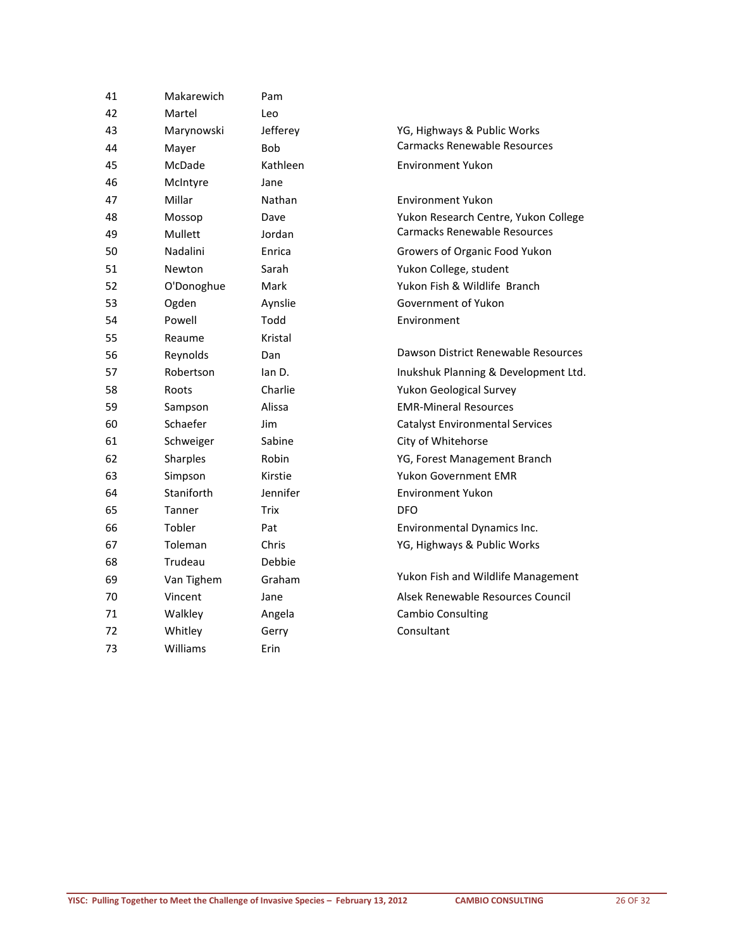| 41 | Makarewich | Pam        |                                        |
|----|------------|------------|----------------------------------------|
| 42 | Martel     | Leo        |                                        |
| 43 | Marynowski | Jefferey   | YG, Highways & Public Works            |
| 44 | Mayer      | <b>Bob</b> | <b>Carmacks Renewable Resources</b>    |
| 45 | McDade     | Kathleen   | <b>Environment Yukon</b>               |
| 46 | McIntyre   | Jane       |                                        |
| 47 | Millar     | Nathan     | <b>Environment Yukon</b>               |
| 48 | Mossop     | Dave       | Yukon Research Centre, Yukon College   |
| 49 | Mullett    | Jordan     | Carmacks Renewable Resources           |
| 50 | Nadalini   | Enrica     | Growers of Organic Food Yukon          |
| 51 | Newton     | Sarah      | Yukon College, student                 |
| 52 | O'Donoghue | Mark       | Yukon Fish & Wildlife Branch           |
| 53 | Ogden      | Aynslie    | Government of Yukon                    |
| 54 | Powell     | Todd       | Environment                            |
| 55 | Reaume     | Kristal    |                                        |
| 56 | Reynolds   | Dan        | Dawson District Renewable Resources    |
| 57 | Robertson  | lan D.     | Inukshuk Planning & Development Ltd.   |
| 58 | Roots      | Charlie    | Yukon Geological Survey                |
| 59 | Sampson    | Alissa     | <b>EMR-Mineral Resources</b>           |
| 60 | Schaefer   | Jim        | <b>Catalyst Environmental Services</b> |
| 61 | Schweiger  | Sabine     | City of Whitehorse                     |
| 62 | Sharples   | Robin      | YG, Forest Management Branch           |
| 63 | Simpson    | Kirstie    | Yukon Government EMR                   |
| 64 | Staniforth | Jennifer   | <b>Environment Yukon</b>               |
| 65 | Tanner     | Trix       | <b>DFO</b>                             |
| 66 | Tobler     | Pat        | Environmental Dynamics Inc.            |
| 67 | Toleman    | Chris      | YG, Highways & Public Works            |
| 68 | Trudeau    | Debbie     |                                        |
| 69 | Van Tighem | Graham     | Yukon Fish and Wildlife Management     |
| 70 | Vincent    | Jane       | Alsek Renewable Resources Council      |
| 71 | Walkley    | Angela     | <b>Cambio Consulting</b>               |
| 72 | Whitley    | Gerry      | Consultant                             |
| 73 | Williams   | Erin       |                                        |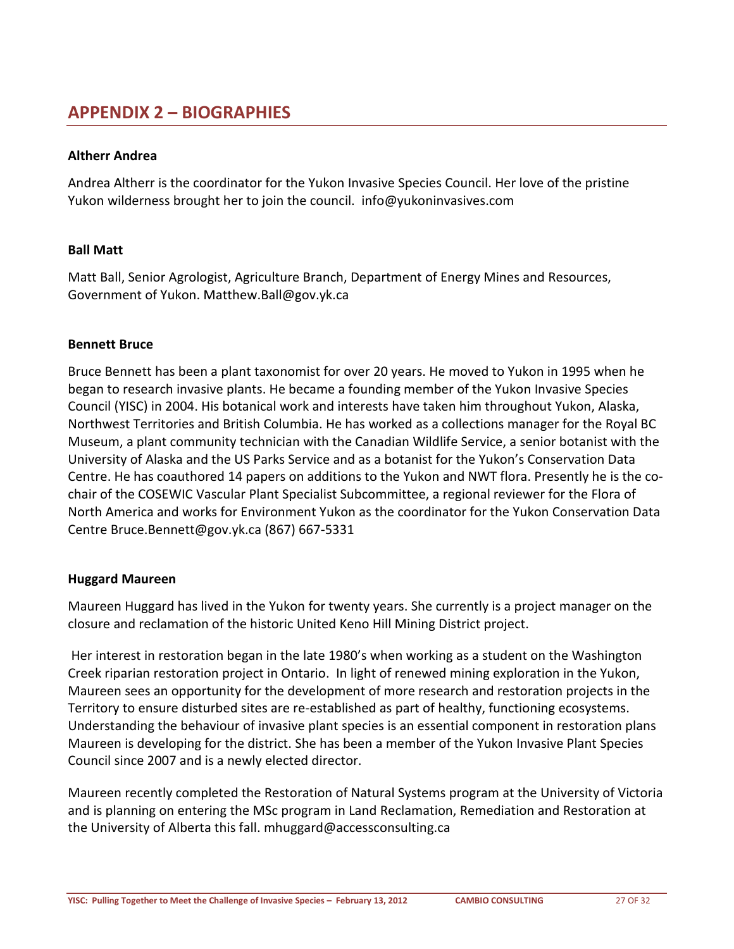### <span id="page-26-0"></span>**APPENDIX 2 – BIOGRAPHIES**

#### **Altherr Andrea**

Andrea Altherr is the coordinator for the Yukon Invasive Species Council. Her love of the pristine Yukon wilderness brought her to join the council. [info@yukoninvasives.com](mailto:info@yukoninvasives.com)

#### **Ball Matt**

Matt Ball, Senior Agrologist, Agriculture Branch, Department of Energy Mines and Resources, Government of Yukon. [Matthew.Ball@gov.yk.ca](mailto:Matthew.Ball@gov.yk.ca)

#### **Bennett Bruce**

Bruce Bennett has been a plant taxonomist for over 20 years. He moved to Yukon in 1995 when he began to research invasive plants. He became a founding member of the Yukon Invasive Species Council (YISC) in 2004. His botanical work and interests have taken him throughout Yukon, Alaska, Northwest Territories and British Columbia. He has worked as a collections manager for the Royal BC Museum, a plant community technician with the Canadian Wildlife Service, a senior botanist with the University of Alaska and the US Parks Service and as a botanist for the Yukon's Conservation Data Centre. He has coauthored 14 papers on additions to the Yukon and NWT flora. Presently he is the cochair of the COSEWIC Vascular Plant Specialist Subcommittee, a regional reviewer for the Flora of North America and works for Environment Yukon as the coordinator for the Yukon Conservation Data Centre [Bruce.Bennett@gov.yk.ca](mailto:Bruce.Bennett@gov.yk.ca) (867) 667-5331

#### **Huggard Maureen**

Maureen Huggard has lived in the Yukon for twenty years. She currently is a project manager on the closure and reclamation of the historic United Keno Hill Mining District project.

Her interest in restoration began in the late 1980's when working as a student on the Washington Creek riparian restoration project in Ontario. In light of renewed mining exploration in the Yukon, Maureen sees an opportunity for the development of more research and restoration projects in the Territory to ensure disturbed sites are re-established as part of healthy, functioning ecosystems. Understanding the behaviour of invasive plant species is an essential component in restoration plans Maureen is developing for the district. She has been a member of the Yukon Invasive Plant Species Council since 2007 and is a newly elected director.

Maureen recently completed the Restoration of Natural Systems program at the University of Victoria and is planning on entering the MSc program in Land Reclamation, Remediation and Restoration at the University of Alberta this fall. [mhuggard@accessconsulting.ca](mailto:mhuggard@accessconsulting.ca)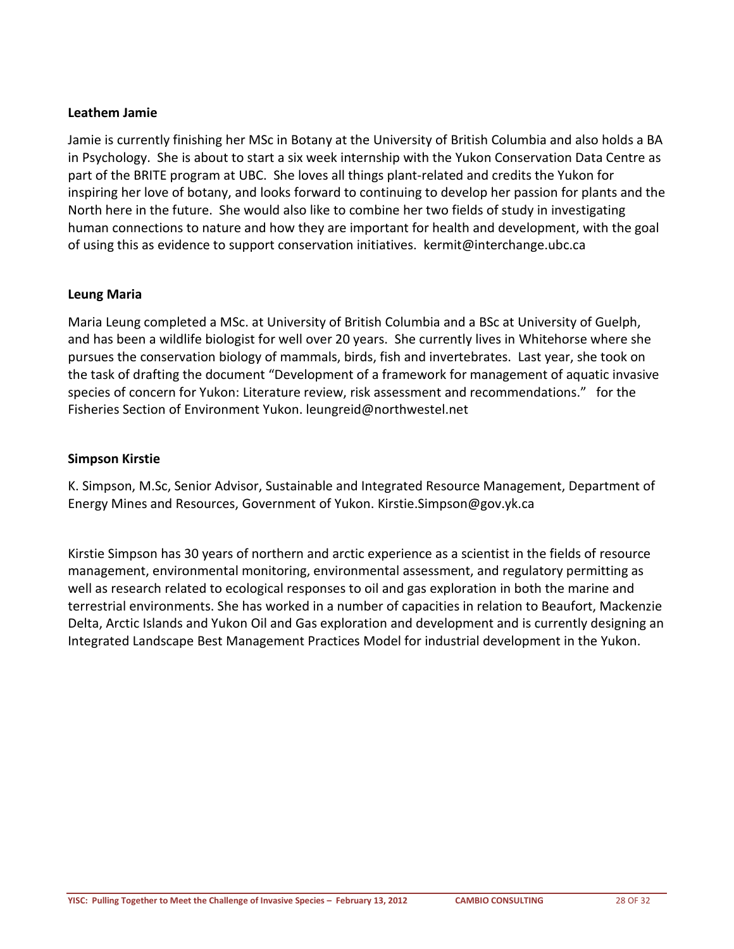#### **Leathem Jamie**

Jamie is currently finishing her MSc in Botany at the University of British Columbia and also holds a BA in Psychology. She is about to start a six week internship with the Yukon Conservation Data Centre as part of the BRITE program at UBC. She loves all things plant-related and credits the Yukon for inspiring her love of botany, and looks forward to continuing to develop her passion for plants and the North here in the future. She would also like to combine her two fields of study in investigating human connections to nature and how they are important for health and development, with the goal of using this as evidence to support conservation initiatives. [kermit@interchange.ubc.ca](mailto:kermit@interchange.ubc.ca)

#### **Leung Maria**

Maria Leung completed a MSc. at University of British Columbia and a BSc at University of Guelph, and has been a wildlife biologist for well over 20 years. She currently lives in Whitehorse where she pursues the conservation biology of mammals, birds, fish and invertebrates. Last year, she took on the task of drafting the document "Development of a framework for management of aquatic invasive species of concern for Yukon: Literature review, risk assessment and recommendations." for the Fisheries Section of Environment Yukon. [leungreid@northwestel.net](mailto:leungreid@northwestel.net)

#### **Simpson Kirstie**

K. Simpson, M.Sc, Senior Advisor, Sustainable and Integrated Resource Management, Department of Energy Mines and Resources, Government of Yukon. [Kirstie.Simpson@gov.yk.ca](mailto:Kirstie.Simpson@gov.yk.ca) 

Kirstie Simpson has 30 years of northern and arctic experience as a scientist in the fields of resource management, environmental monitoring, environmental assessment, and regulatory permitting as well as research related to ecological responses to oil and gas exploration in both the marine and terrestrial environments. She has worked in a number of capacities in relation to Beaufort, Mackenzie Delta, Arctic Islands and Yukon Oil and Gas exploration and development and is currently designing an Integrated Landscape Best Management Practices Model for industrial development in the Yukon.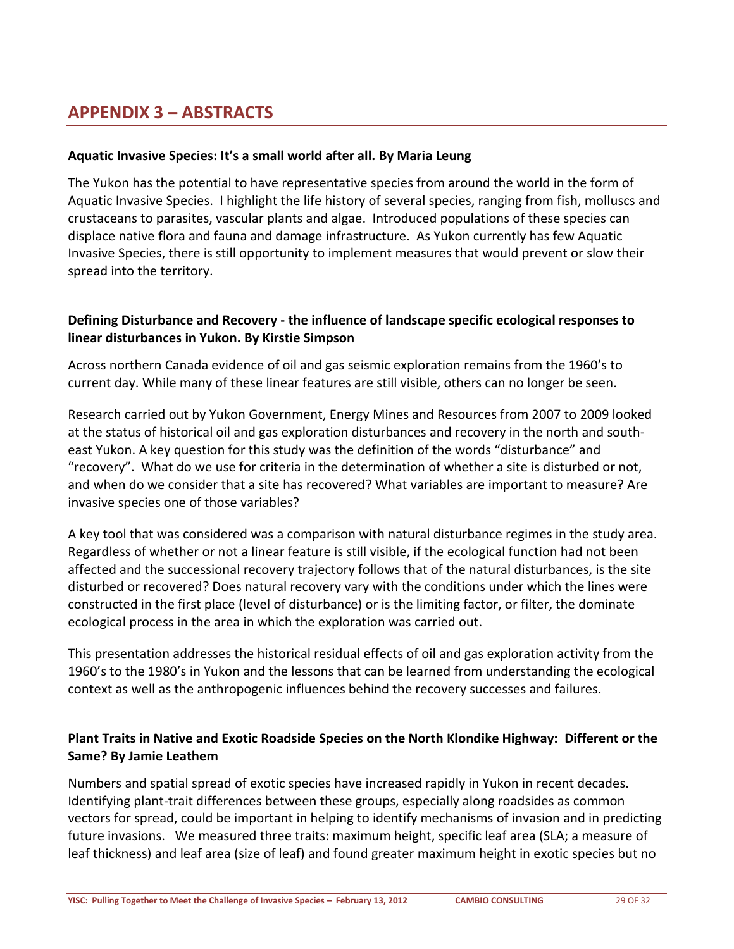### <span id="page-28-0"></span>**APPENDIX 3 – ABSTRACTS**

#### **Aquatic Invasive Species: It's a small world after all. By Maria Leung**

The Yukon has the potential to have representative species from around the world in the form of Aquatic Invasive Species. I highlight the life history of several species, ranging from fish, molluscs and crustaceans to parasites, vascular plants and algae. Introduced populations of these species can displace native flora and fauna and damage infrastructure. As Yukon currently has few Aquatic Invasive Species, there is still opportunity to implement measures that would prevent or slow their spread into the territory.

#### **Defining Disturbance and Recovery - the influence of landscape specific ecological responses to linear disturbances in Yukon. By Kirstie Simpson**

Across northern Canada evidence of oil and gas seismic exploration remains from the 1960's to current day. While many of these linear features are still visible, others can no longer be seen.

Research carried out by Yukon Government, Energy Mines and Resources from 2007 to 2009 looked at the status of historical oil and gas exploration disturbances and recovery in the north and southeast Yukon. A key question for this study was the definition of the words "disturbance" and "recovery". What do we use for criteria in the determination of whether a site is disturbed or not, and when do we consider that a site has recovered? What variables are important to measure? Are invasive species one of those variables?

A key tool that was considered was a comparison with natural disturbance regimes in the study area. Regardless of whether or not a linear feature is still visible, if the ecological function had not been affected and the successional recovery trajectory follows that of the natural disturbances, is the site disturbed or recovered? Does natural recovery vary with the conditions under which the lines were constructed in the first place (level of disturbance) or is the limiting factor, or filter, the dominate ecological process in the area in which the exploration was carried out.

This presentation addresses the historical residual effects of oil and gas exploration activity from the 1960's to the 1980's in Yukon and the lessons that can be learned from understanding the ecological context as well as the anthropogenic influences behind the recovery successes and failures.

#### **Plant Traits in Native and Exotic Roadside Species on the North Klondike Highway: Different or the Same? By Jamie Leathem**

Numbers and spatial spread of exotic species have increased rapidly in Yukon in recent decades. Identifying plant-trait differences between these groups, especially along roadsides as common vectors for spread, could be important in helping to identify mechanisms of invasion and in predicting future invasions. We measured three traits: maximum height, specific leaf area (SLA; a measure of leaf thickness) and leaf area (size of leaf) and found greater maximum height in exotic species but no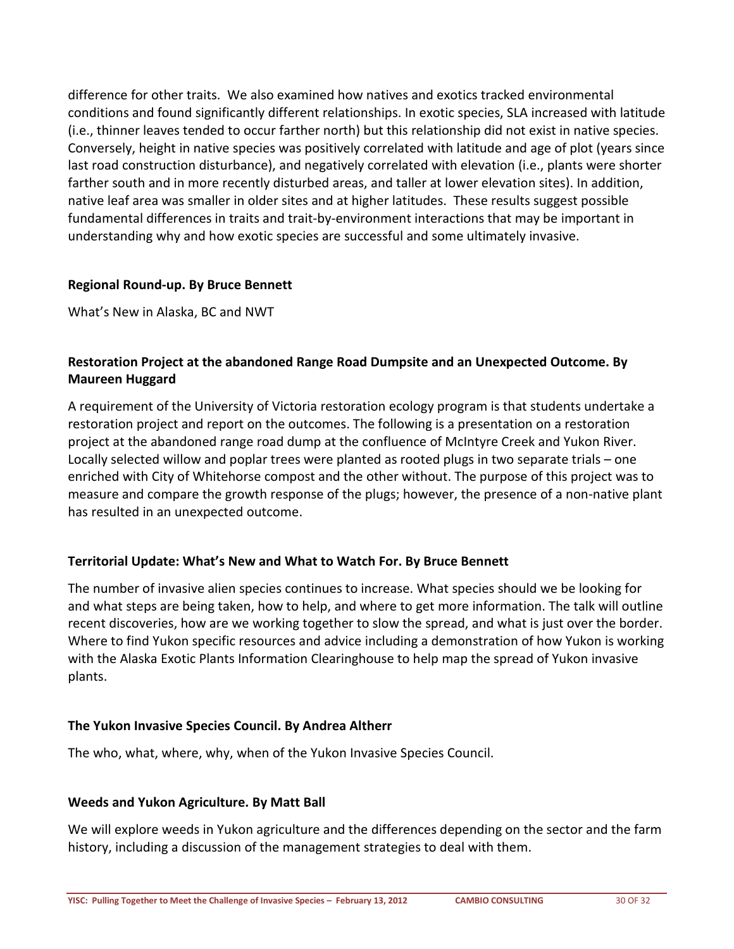difference for other traits. We also examined how natives and exotics tracked environmental conditions and found significantly different relationships. In exotic species, SLA increased with latitude (i.e., thinner leaves tended to occur farther north) but this relationship did not exist in native species. Conversely, height in native species was positively correlated with latitude and age of plot (years since last road construction disturbance), and negatively correlated with elevation (i.e., plants were shorter farther south and in more recently disturbed areas, and taller at lower elevation sites). In addition, native leaf area was smaller in older sites and at higher latitudes. These results suggest possible fundamental differences in traits and trait-by-environment interactions that may be important in understanding why and how exotic species are successful and some ultimately invasive.

#### **Regional Round-up. By Bruce Bennett**

What's New in Alaska, BC and NWT

#### **Restoration Project at the abandoned Range Road Dumpsite and an Unexpected Outcome. By Maureen Huggard**

A requirement of the University of Victoria restoration ecology program is that students undertake a restoration project and report on the outcomes. The following is a presentation on a restoration project at the abandoned range road dump at the confluence of McIntyre Creek and Yukon River. Locally selected willow and poplar trees were planted as rooted plugs in two separate trials – one enriched with City of Whitehorse compost and the other without. The purpose of this project was to measure and compare the growth response of the plugs; however, the presence of a non-native plant has resulted in an unexpected outcome.

#### **Territorial Update: What's New and What to Watch For. By Bruce Bennett**

The number of invasive alien species continues to increase. What species should we be looking for and what steps are being taken, how to help, and where to get more information. The talk will outline recent discoveries, how are we working together to slow the spread, and what is just over the border. Where to find Yukon specific resources and advice including a demonstration of how Yukon is working with the Alaska Exotic Plants Information Clearinghouse to help map the spread of Yukon invasive plants.

#### **The Yukon Invasive Species Council. By Andrea Altherr**

The who, what, where, why, when of the Yukon Invasive Species Council.

#### **Weeds and Yukon Agriculture. By Matt Ball**

We will explore weeds in Yukon agriculture and the differences depending on the sector and the farm history, including a discussion of the management strategies to deal with them.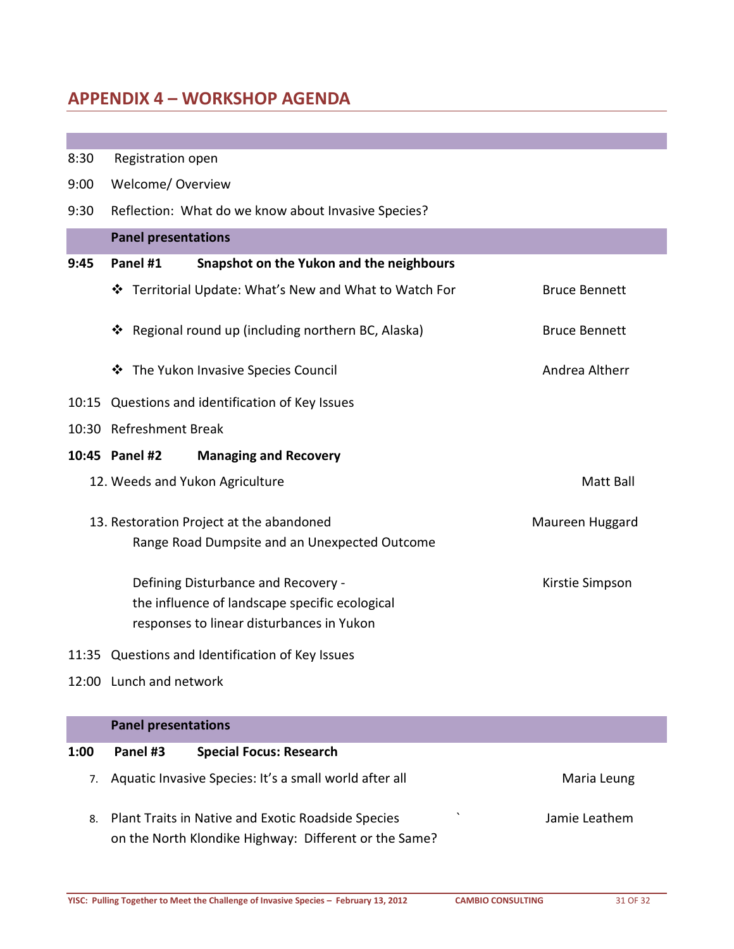### <span id="page-30-0"></span>**APPENDIX 4 – WORKSHOP AGENDA**

| 8:30 | Registration open                                      |                      |  |  |  |
|------|--------------------------------------------------------|----------------------|--|--|--|
| 9:00 | Welcome/Overview                                       |                      |  |  |  |
| 9:30 | Reflection: What do we know about Invasive Species?    |                      |  |  |  |
|      | <b>Panel presentations</b>                             |                      |  |  |  |
| 9:45 | Panel #1<br>Snapshot on the Yukon and the neighbours   |                      |  |  |  |
|      | ❖ Territorial Update: What's New and What to Watch For | <b>Bruce Bennett</b> |  |  |  |
|      | Regional round up (including northern BC, Alaska)<br>❖ | <b>Bruce Bennett</b> |  |  |  |
|      | The Yukon Invasive Species Council<br>❖                | Andrea Altherr       |  |  |  |
|      | 10:15 Questions and identification of Key Issues       |                      |  |  |  |
|      | 10:30 Refreshment Break                                |                      |  |  |  |
|      | 10:45 Panel #2<br><b>Managing and Recovery</b>         |                      |  |  |  |
|      | 12. Weeds and Yukon Agriculture                        | Matt Ball            |  |  |  |
|      | 13. Restoration Project at the abandoned               | Maureen Huggard      |  |  |  |
|      | Range Road Dumpsite and an Unexpected Outcome          |                      |  |  |  |
|      | Defining Disturbance and Recovery -                    | Kirstie Simpson      |  |  |  |
|      | the influence of landscape specific ecological         |                      |  |  |  |
|      | responses to linear disturbances in Yukon              |                      |  |  |  |
|      | 11:35 Questions and Identification of Key Issues       |                      |  |  |  |
|      | 12:00 Lunch and network                                |                      |  |  |  |

|      | <b>Panel presentations</b> |                                                                                                                |  |               |  |
|------|----------------------------|----------------------------------------------------------------------------------------------------------------|--|---------------|--|
| 1:00 | Panel #3                   | <b>Special Focus: Research</b>                                                                                 |  |               |  |
| 7.   |                            | Aquatic Invasive Species: It's a small world after all                                                         |  | Maria Leung   |  |
|      |                            | 8. Plant Traits in Native and Exotic Roadside Species<br>on the North Klondike Highway: Different or the Same? |  | Jamie Leathem |  |